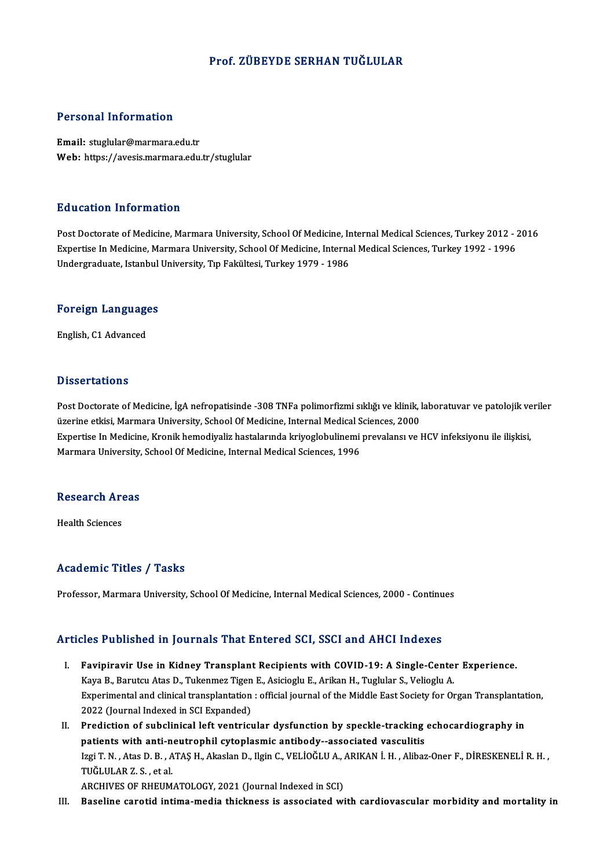#### Prof. ZÜBEYDE SERHAN TUĞLULAR

#### Personal Information

Email: stuglular@marmara.edu.tr Web: https://avesis.marmara.edu.tr/stuglular

#### Education Information

Education Information<br>Post Doctorate of Medicine, Marmara University, School Of Medicine, Internal Medical Sciences, Turkey 2012 - 2016<br>Expertise In Medicine, Marmara University, School Of Medicine, Internal Medical Scienc Eu d'outron Timor inderon<br>Post Doctorate of Medicine, Marmara University, School Of Medicine, Internal Medical Sciences, Turkey 2012 - 2<br>Undergraduate Istanbul University Tip Felsültesi Turkey 1979 - 1996 Expertise In Medicine, Marmara University, School Of Medicine, Internal Medical Sciences, Turkey 1992 - 1996<br>Undergraduate, Istanbul University, Tıp Fakültesi, Turkey 1979 - 1986

## <sub>ondergraduate, istanbul</sub><br>Foreign Languages <mark>Foreign Languag</mark>e<br>English, C1 Advanced

English, C1 Advanced<br>Dissertations

Dissertations<br>Post Doctorate of Medicine, İgA nefropatisinde -308 TNFa polimorfizmi sıklığı ve klinik, laboratuvar ve patolojik veriler<br>üzerine etkisi Marmara University School Of Medicine, Internal Medical Sciences, 2000 ussos catronio<br>Post Doctorate of Medicine, İgA nefropatisinde -308 TNFa polimorfizmi sıklığı ve klinik, l<br>üzerine etkisi, Marmara University, School Of Medicine, Internal Medical Sciences, 2000<br>Evnertise In Medicine, Kreni Post Doctorate of Medicine, İgA nefropatisinde -308 TNFa polimorfizmi sıklığı ve klinik, laboratuvar ve patolojik ve<br>üzerine etkisi, Marmara University, School Of Medicine, Internal Medical Sciences, 2000<br>Expertise In Medi üzerine etkisi, Marmara University, School Of Medicine, Internal Medical S<br>Expertise In Medicine, Kronik hemodiyaliz hastalarında kriyoglobulinemi<br>Marmara University, School Of Medicine, Internal Medical Sciences, 1996

## marmara oniversity,<br>Research Areas R<mark>esearch Ar</mark><br>Health Sciences

# Academic Titles / Tasks

Professor, Marmara University, School Of Medicine, Internal Medical Sciences, 2000 - Continues

#### Articles Published in Journals That Entered SCI, SSCI and AHCI Indexes

- rticles Published in Journals That Entered SCI, SSCI and AHCI Indexes<br>I. Favipiravir Use in Kidney Transplant Recipients with COVID-19: A Single-Center Experience.<br>Kave B. Barutau Atas D. Tukenmes Tisen E. Asisiesly E. Ari Kaya B., Barnshou in Journalis Thur Enter on 991, 8991 and Thref Indones<br>Favipiravir Use in Kidney Transplant Recipients with COVID-19: A Single-Cente:<br>Kaya B., Barutcu Atas D., Tukenmez Tigen E., Asicioglu E., Arikan H., Experimental and clinical transplantation: official journal of the Middle East Society for Organ Transplantation,<br>2022 (Journal Indexed in SCI Expanded) Kaya B., Barutcu Atas D., Tukenmez Tigen E., Asicioglu E., Arikan H., Tuglular S., Velioglu A. Experimental and clinical transplantation : official journal of the Middle East Society for Organ Transplantat<br>2022 (Journal Indexed in SCI Expanded)<br>II. Prediction of subclinical left ventricular dysfunction by speckle-tr
- 2022 (Journal Indexed in SCI Expanded)<br>Prediction of subclinical left ventricular dysfunction by speckle-tracking<br>patients with anti-neutrophil cytoplasmic antibody--associated vasculitis<br>Issi T.N., Ates D.B., ATAS H., Als Prediction of subclinical left ventricular dysfunction by speckle-tracking echocardiography in<br>patients with anti-neutrophil cytoplasmic antibody--associated vasculitis<br>Izgi T. N. , Atas D. B. , ATAŞ H., Akaslan D., Ilgin **patients with anti-n<br>Izgi T. N. , Atas D. B. , A<br>TUĞLULAR Z. S. , et al.**<br>ARCUIVES OF PUEUM Izgi T. N. , Atas D. B. , ATAŞ H., Akaslan D., Ilgin C., VELİOĞLU A., .<br>TUĞLULAR Z. S. , et al.<br>ARCHIVES OF RHEUMATOLOGY, 2021 (Journal Indexed in SCI)<br>Pesalina sanatid intima madia thisknass is assosiated wi TUĞLULAR Z. S. , et al.<br>ARCHIVES OF RHEUMATOLOGY, 2021 (Journal Indexed in SCI)<br>III. Baseline carotid intima-media thickness is associated with cardiovascular morbidity and mortality in
-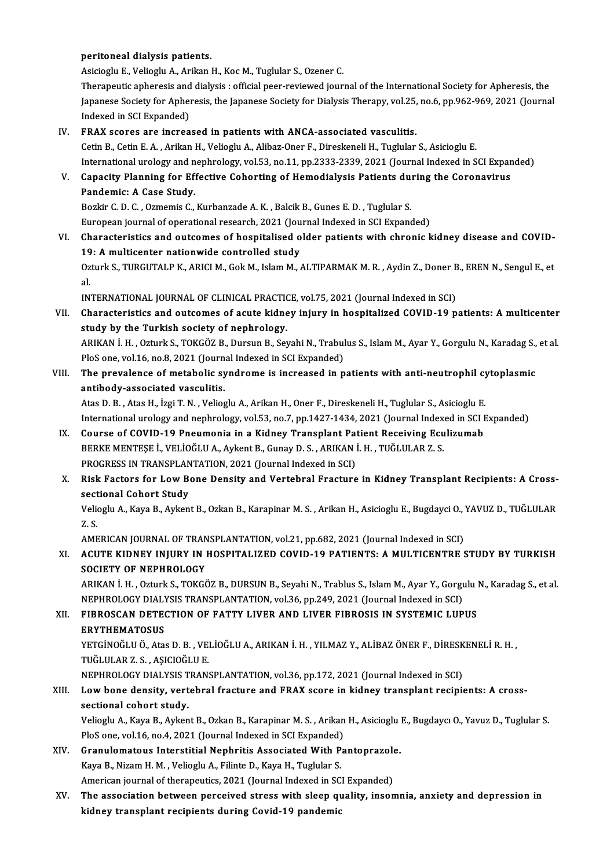#### peritoneal dialysis patients.

Asicioglu E., Velioglu A., Arikan H., Koc M., Tuglular S., Ozener C. Therapeutic apheresis and dialysis : official peer-reviewed journal of the International Society for Apheresis, the Asicioglu E., Velioglu A., Arikan H., Koc M., Tuglular S., Ozener C.<br>Therapeutic apheresis and dialysis : official peer-reviewed journal of the International Society for Apheresis, the<br>Japanese Society for Apheresis, the J Therapeutic apheresis and<br>Japanese Society for Apher<br>Indexed in SCI Expanded)<br>EPAX SSOFOS are insteed Japanese Society for Apheresis, the Japanese Society for Dialysis Therapy, vol.25,<br>Indexed in SCI Expanded)<br>IV. FRAX scores are increased in patients with ANCA-associated vasculitis.<br>Cetin B. Cetin E.A., Arikan H. Voliogly

Indexed in SCI Expanded)<br>IV. FRAX scores are increased in patients with ANCA-associated vasculitis.<br>Cetin B., Cetin E. A. , Arikan H., Velioglu A., Alibaz-Oner F., Direskeneli H., Tuglular S., Asicioglu E. International urology and nephrology, vol.53, no.11, pp.2333-2339, 2021 (Journal Indexed in SCI Expanded) Cetin B., Cetin E. A. , Arikan H., Velioglu A., Alibaz-Oner F., Direskeneli H., Tuglular S., Asicioglu E.<br>International urology and nephrology, vol.53, no.11, pp.2333-2339, 2021 (Journal Indexed in SCI Exparenty Planning f

### Pandemic: A Case Study.

Capacity Planning for Effective Cohorting of Hemodialysis Patients du:<br>Pandemic: A Case Study.<br>Bozkir C. D. C. , Ozmemis C., Kurbanzade A. K. , Balcik B., Gunes E. D. , Tuglular S.<br>European journal of operational research, Bozkir C. D. C. , Ozmemis C., Kurbanzade A. K. , Balcik B., Gunes E. D. , Tuglular S.<br>European journal of operational research, 2021 (Journal Indexed in SCI Expanded)

VI. Characteristics and outcomes of hospitalised older patients with chronic kidney disease and COVID-19: A multicenter nationwide controlled study Characteristics and outcomes of hospitalised older patients with chronic kidney disease and COVID-<br>19: A multicenter nationwide controlled study<br>Ozturk S., TURGUTALP K., ARICI M., Gok M., Islam M., ALTIPARMAK M. R. , Aydin 19<br>0z<br>al Ozturk S., TURGUTALP K., ARICI M., Gok M., Islam M., ALTIPARMAK M. R. , Aydin Z., Doner B<br>al.<br>INTERNATIONAL JOURNAL OF CLINICAL PRACTICE, vol.75, 2021 (Journal Indexed in SCI)<br>Shanastaristics and autsomes of asute kidney i

al.<br>INTERNATIONAL JOURNAL OF CLINICAL PRACTICE, vol.75, 2021 (Journal Indexed in SCI)<br>VII. Characteristics and outcomes of acute kidney injury in hospitalized COVID-19 patients: A multicenter<br>Andy by the Turkish sesisty INTERNATIONAL JOURNAL OF CLINICAL PRACTION<br>Characteristics and outcomes of acute kidne<br>study by the Turkish society of nephrology. Characteristics and outcomes of acute kidney injury in hospitalized COVID-19 patients: A multicenter<br>study by the Turkish society of nephrology.<br>ARIKAN İ. H. , Ozturk S., TOKGÖZ B., Dursun B., Seyahi N., Trabulus S., Islam

study by the Turkish society of nephrology.<br>ARIKAN İ. H. , Ozturk S., TOKGÖZ B., Dursun B., Seyahi N., Trabul<br>PloS one, vol.16, no.8, 2021 (Journal Indexed in SCI Expanded)<br>The prevelence of metabolis syndrome is increased ARIKAN İ. H. , Ozturk S., TOKGÖZ B., Dursun B., Seyahi N., Trabulus S., Islam M., Ayar Y., Gorgulu N., Karadag S.,<br>PloS one, vol.16, no.8, 2021 (Journal Indexed in SCI Expanded)<br>VIII. The prevalence of metabolic syndrome i

## PloS one, vol.16, no.8, 2021 (Journal Indexed in SCI Expanded)<br>The prevalence of metabolic syndrome is increased in patients with anti-neutrophil cytoplasmic<br>antibody-associated vasculitis.

Atas D. B., Atas H., İzgi T. N., Velioglu A., Arikan H., Oner F., Direskeneli H., Tuglular S., Asicioglu E. antibody-associated vasculitis.<br>Atas D. B. , Atas H., İzgi T. N. , Velioglu A., Arikan H., Oner F., Direskeneli H., Tuglular S., Asicioglu E.<br>International urology and nephrology, vol.53, no.7, pp.1427-1434, 2021 (Journal Atas D. B., Atas H., İzgi T. N., Velioglu A., Arikan H., Oner F., Direskeneli H., Tuglular S., Asicioglu E.<br>International urology and nephrology, vol.53, no.7, pp.1427-1434, 2021 (Journal Indexed in SCI I<br>IX. Course of COV

- International urology and nephrology, vol.53, no.7, pp.1427-1434, 2021 (Journal Index<br>Course of COVID-19 Pneumonia in a Kidney Transplant Patient Receiving Ecu<br>BERKE MENTESE İ., VELİOĞLU A., Aykent B., Gunay D. S. , ARIKAN Course of COVID-19 Pneumonia in a Kidney Transplant Pa<br>BERKE MENTESE İ., VELİOĞLU A., Aykent B., Gunay D. S. , ARIKAN İ<br>PROGRESS IN TRANSPLANTATION, 2021 (Journal Indexed in SCI)<br>Biek Easters for Law Bane Dansity and Verte BERKE MENTEȘE İ., VELİOĞLU A., Aykent B., Gunay D. S. , ARIKAN İ. H. , TUĞLULAR Z. S.<br>PROGRESS IN TRANSPLANTATION, 2021 (Journal Indexed in SCI)<br>X. Risk Factors for Low Bone Density and Vertebral Fracture in Kidney Tra
- **PROGRESS IN TRANSPLAN<br>Risk Factors for Low Be<br>sectional Cohort Study<br>Veliegly A. Kave B. Aylen** Risk Factors for Low Bone Density and Vertebral Fracture in Kidney Transplant Recipients: A Cross-<br>sectional Cohort Study<br>Velioglu A., Kaya B., Aykent B., Ozkan B., Karapinar M. S. , Arikan H., Asicioglu E., Bugdayci O., Y

sectional Cohort Study<br>Velioglu A., Kaya B., Aykent B., Ozkan B., Karapinar M. S. , Arikan H., Asicioglu E., Bugdayci O., YAVUZ D., TUĞLULAR<br>Z. S. Velioglu A., Kaya B., Aykent B., Ozkan B., Karapinar M. S. , Arikan H., Asicioglu E., Bugdayci O., `<br>Z. S.<br>AMERICAN JOURNAL OF TRANSPLANTATION, vol.21, pp.682, 2021 (Journal Indexed in SCI)<br>ACUTE KIDNEY INJURY IN HOSPITALI

### XI. ACUTE KIDNEY INJURY IN HOSPITALIZED COVID-19 PATIENTS: A MULTICENTRE STUDY BY TURKISH SOCIETY OF NEPHROLOGY AMERICAN JOURNAL OF TRAN<br>ACUTE KIDNEY INJURY IN 1<br>SOCIETY OF NEPHROLOGY<br>ABIKAN I H- OTTURES TOKCÉ ACUTE KIDNEY INJURY IN HOSPITALIZED COVID-19 PATIENTS: A MULTICENTRE STUDY BY TURKISH<br>SOCIETY OF NEPHROLOGY<br>ARIKAN İ. H. , Ozturk S., TOKGÖZ B., DURSUN B., Seyahi N., Trablus S., Islam M., Ayar Y., Gorgulu N., Karadag S.,

SOCIETY OF NEPHROLOGY<br>ARIKAN İ. H. , Ozturk S., TOKGÖZ B., DURSUN B., Seyahi N., Trablus S., Islam M., Ayar Y., Gorgu<br>NEPHROLOGY DIALYSIS TRANSPLANTATION, vol.36, pp.249, 2021 (Journal Indexed in SCI)<br>FIBROSCAN DETECTION O ARIKAN İ. H. , Ozturk S., TOKGÖZ B., DURSUN B., Seyahi N., Trablus S., Islam M., Ayar Y., Gorgulu I<br>NEPHROLOGY DIALYSIS TRANSPLANTATION, vol.36, pp.249, 2021 (Journal Indexed in SCI)<br>XII. FIBROSCAN DETECTION OF FATTY LIVER

# NEPHROLOGY DIAL<mark>)</mark><br>FIBROSCAN DETE<br>ERYTHEMATOSUS<br><sup>VETCINOČI II Ö. Ata</sup>

ERYTHEMATOSUS<br>YETGİNOĞLU Ö., Atas D. B. , VELİOĞLU A., ARIKAN İ. H. , YILMAZ Y., ALİBAZ ÖNER F., DİRESKENELİ R. H. , TUĞLULAR Z. S., AŞICIOĞLU E.

NEPHROLOGY DIALYSIS TRANSPLANTATION, vol.36, pp.172, 2021 (Journal Indexed in SCI)

### TUĞLULAR Z. S. , AŞICIOĞLU E.<br>NEPHROLOGY DIALYSIS TRANSPLANTATION, vol.36, pp.172, 2021 (Journal Indexed in SCI)<br>XIII. Low bone density, vertebral fracture and FRAX score in kidney transplant recipients: A cross-<br>secti NEPHROLOGY DIALYSIS T<br>Low bone density, vert<br>sectional cohort study.<br>Veliegly A. Kaya B. Aykan Low bone density, vertebral fracture and FRAX score in kidney transplant recipients: A cross-<br>sectional cohort study.<br>Velioglu A., Kaya B., Aykent B., Ozkan B., Karapinar M. S. , Arikan H., Asicioglu E., Bugdaycı O., Yavuz

sectional cohort study.<br>Velioglu A., Kaya B., Aykent B., Ozkan B., Karapinar M. S. , Arikan H., Asicioglu E., Bugdaycı O., Yavuz D., Tuglular S.<br>PloS one, vol.16, no.4, 2021 (Journal Indexed in SCI Expanded) Velioglu A., Kaya B., Aykent B., Ozkan B., Karapinar M. S., Arikan H., Asicioglu<br>PloS one, vol.16, no.4, 2021 (Journal Indexed in SCI Expanded)<br>XIV. Granulomatous Interstitial Nephritis Associated With Pantoprazole.<br>Kaya B

- Kaya B., Nizam H. M. , Velioglu A., Filinte D., Kaya H., Tuglular S.<br>American journal of therapeutics, 2021 (Journal Indexed in SCI Expanded) Granulomatous Interstitial Nephritis Associated With Pantoprazolo<br>Kaya B., Nizam H. M. , Velioglu A., Filinte D., Kaya H., Tuglular S.<br>American journal of therapeutics, 2021 (Journal Indexed in SCI Expanded)<br>The associatio
- Kaya B., Nizam H. M. , Velioglu A., Filinte D., Kaya H., Tuglular S.<br>American journal of therapeutics, 2021 (Journal Indexed in SCI Expanded)<br>XV. The association between perceived stress with sleep quality, insomnia, anxie American journal of therapeutics, 2021 (Journal Indexed in SC<br>The association between perceived stress with sleep qı<br>kidney transplant recipients during Covid-19 pandemic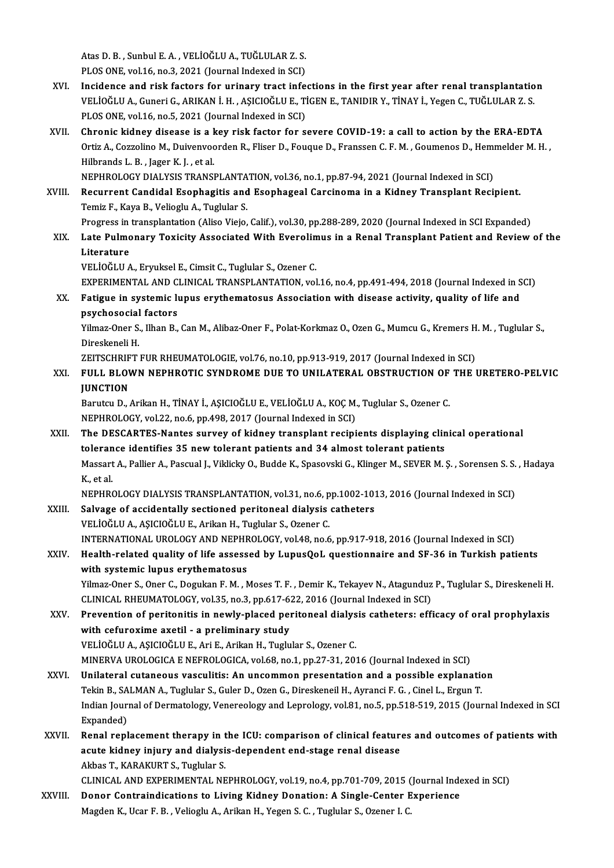Atas D. B. , Sunbul E. A. , VELİOĞLU A., TUĞLULAR Z. S.<br>PLOS ONE. val 16. no. 3. 2021 (Journal Indoved in SCD) Atas D. B. , Sunbul E. A. , VELİOĞLU A., TUĞLULAR Z. S.<br>PLOS ONE, vol.16, no.3, 2021 (Journal Indexed in SCI)<br>Insidense and risk fastars far urinary trast info

- Atas D. B., Sunbul E. A., VELİOĞLU A., TUĞLULAR Z. S.<br>PLOS ONE, vol.16, no.3, 2021 (Journal Indexed in SCI)<br>XVI. Incidence and risk factors for urinary tract infections in the first year after renal transplantation<br>VELIOČL PLOS ONE, vol.16, no.3, 2021 (Journal Indexed in SCI)<br>Incidence and risk factors for urinary tract infections in the first year after renal transplantatio<br>VELİOĞLU A., Guneri G., ARIKAN İ.H., AŞICIOĞLU E., TİGEN E., TANIDI Incidence and risk factors for urinary tract infe<br>VELİOĞLU A., Guneri G., ARIKAN İ.H., AŞICIOĞLU E., Tİ<br>PLOS ONE, vol.16, no.5, 2021 (Journal Indexed in SCI)<br>Chronis kidnov disease is a kov risk fastor for s VELİOĞLU A., Guneri G., ARIKAN İ. H. , AŞICIOĞLU E., TİGEN E., TANIDIR Y., TİNAY İ., Yegen C., TUĞLULAR Z. S.<br>PLOS ONE, vol.16, no.5, 2021 (Journal Indexed in SCI)<br>XVII. Chronic kidney disease is a key risk factor for
- PLOS ONE, vol.16, no.5, 2021 (Journal Indexed in SCI)<br>Chronic kidney disease is a key risk factor for severe COVID-19: a call to action by the ERA-EDTA<br>Ortiz A., Cozzolino M., Duivenvoorden R., Fliser D., Fouque D., Franss Chronic kidney disease is a l<br>Ortiz A., Cozzolino M., Duivenvoo<br>Hilbrands L. B. , Jager K. J. , et al.<br>NEPHROLOCY DIALVSIS TRANSI Ortiz A., Cozzolino M., Duivenvoorden R., Fliser D., Fouque D., Franssen C. F. M. , Goumenos D., Hemi<br>Hilbrands L. B. , Jager K. J. , et al.<br>NEPHROLOGY DIALYSIS TRANSPLANTATION, vol.36, no.1, pp.87-94, 2021 (Journal Indexe

Hilbrands L. B. , Jager K. J. , et al.<br>NEPHROLOGY DIALYSIS TRANSPLANTATION, vol.36, no.1, pp.87-94, 2021 (Journal Indexed in SCI)<br>XVIII. Recurrent Candidal Esophagitis and Esophageal Carcinoma in a Kidney Transplant Re NEPHROLOGY DIALYSIS TRANSPLANTA<br>Recurrent Candidal Esophagitis and<br>Temiz F., Kaya B., Velioglu A., Tuglular S.<br>Progress in transplantation (Aliso Visio XVIII. Recurrent Candidal Esophagitis and Esophageal Carcinoma in a Kidney Transplant Recipient.<br>Temiz F., Kaya B., Velioglu A., Tuglular S.<br>Progress in transplantation (Aliso Viejo, Calif.), vol.30, pp.288-289, 2020 (Jour

Temiz F., Kaya B., Velioglu A., Tuglular S.<br>Progress in transplantation (Aliso Viejo, Calif.), vol.30, pp.288-289, 2020 (Journal Indexed in SCI Expanded)<br>XIX. Late Pulmonary Toxicity Associated With Everolimus in a Ren Progress in<br><mark>Late Pulmo</mark><br>Literature<br>VELIOČLU A VELİOĞLUA.,EryukselE.,CimsitC.,Tuglular S.,Ozener C.

EXPERIMENTAL AND CLINICAL TRANSPLANTATION, vol.16, no.4, pp.491-494, 2018 (Journal Indexed in SCI) VELİOĞLU A., Eryuksel E., Cimsit C., Tuglular S., Ozener C.<br>EXPERIMENTAL AND CLINICAL TRANSPLANTATION, vol.16, no.4, pp.491-494, 2018 (Journal Indexed in S<br>XX. Fatigue in systemic lupus erythematosus Association with disea

## EXPERIMENTAL AND C<br>Fatigue in systemic lu<br>psychosocial factors<br><sup>Vilmor</sup> Oper S. <sup>Ubon B</sup>. Fatigue in systemic lupus erythematosus Association with disease activity, quality of life and<br>psychosocial factors<br>Yilmaz-Oner S., Ilhan B., Can M., Alibaz-Oner F., Polat-Korkmaz O., Ozen G., Mumcu G., Kremers H. M. , Tug

ps<mark>ychosocial</mark><br>Yilmaz-Oner S.<br>Direskeneli H.<br>ZEITSCHDIET Yilmaz-Oner S., Ilhan B., Can M., Alibaz-Oner F., Polat-Korkmaz O., Ozen G., Mumcu G., Kremers H<br>Direskeneli H.<br>ZEITSCHRIFT FUR RHEUMATOLOGIE, vol.76, no.10, pp.913-919, 2017 (Journal Indexed in SCI)<br>EIILL BLOWN NERHROTIC

### Direskeneli H.<br>ZEITSCHRIFT FUR RHEUMATOLOGIE, vol.76, no.10, pp.913-919, 2017 (Journal Indexed in SCI)<br>XXI. FULL BLOWN NEPHROTIC SYNDROME DUE TO UNILATERAL OBSTRUCTION OF THE URETERO-PELVIC<br>UINCTION ZEITSCHRIF<br>FULL BLOV<br>JUNCTION<br><sup>Porutuu</sub> D</sup> JUNCTION<br>Barutcu D., Arikan H., TİNAY İ., AŞICIOĞLU E., VELİOĞLU A., KOÇ M., Tuglular S., Ozener C.

NEPHROLOGY, vol.22, no.6, pp.498, 2017 (Journal Indexed in SCI) Barutcu D., Arikan H., TİNAY İ., AŞICIOĞLU E., VELİOĞLU A., KOÇ M., Tuglular S., Ozener C.<br>NEPHROLOGY, vol.22, no.6, pp.498, 2017 (Journal Indexed in SCI)<br>XXII. The DESCARTES-Nantes survey of kidney transplant recipients d

NEPHROLOGY, vol.22, no.6, pp.498, 2017 (Journal Indexed in SCI)<br>The DESCARTES-Nantes survey of kidney transplant recipients displaying clin<br>tolerance identifies 35 new tolerant patients and 34 almost tolerant patients<br>Mesc The DESCARTES-Nantes survey of kidney transplant recipients displaying clinical operational<br>tolerance identifies 35 new tolerant patients and 34 almost tolerant patients<br>Massart A., Pallier A., Pascual J., Viklicky O., Bud tolerance identifies 35 new tolerant patients and 34 almost tolerant patients<br>Massart A., Pallier A., Pascual J., Viklicky O., Budde K., Spasovski G., Klinger M., SEVER M.<br>K., et al. Massart A., Pallier A., Pascual J., Viklicky O., Budde K., Spasovski G., Klinger M., SEVER M. Ş. , Sorensen S. S.<br>K., et al.<br>NEPHROLOGY DIALYSIS TRANSPLANTATION, vol.31, no.6, pp.1002-1013, 2016 (Journal Indexed in SCI)<br>Sa

NEPHROLOGY DIALYSIS TRANSPLANTATION, vol.31, no.6, pp.1002-1013, 2016 (Journal Indexed in SCI)<br>XXIII. Salvage of accidentally sectioned peritoneal dialysis catheters

VELİOĞLUA.,AŞICIOĞLUE.,ArikanH.,Tuglular S.,Ozener C. Salvage of accidentally sectioned peritoneal dialysis catheters<br>VELİOĞLU A., AŞICIOĞLU E., Arikan H., Tuglular S., Ozener C.<br>INTERNATIONAL UROLOGY AND NEPHROLOGY, vol.48, no.6, pp.917-918, 2016 (Journal Indexed in SCI)<br>Hea VELİOĞLU A., AŞICIOĞLU E., Arikan H., Tuglular S., Ozener C.<br>INTERNATIONAL UROLOGY AND NEPHROLOGY, vol.48, no.6, pp.917-918, 2016 (Journal Indexed in SCI)<br>XXIV. Health-related quality of life assessed by LupusQoL quest

## INTERNATIONAL UROLOGY AND NEPHF<br>Health-related quality of life assess<br>with systemic lupus erythematosus<br><sup>Vilmog</sup> Oper S. Oper G. Degular E.M., N Health-related quality of life assessed by LupusQoL questionnaire and SF-36 in Turkish patients<br>with systemic lupus erythematosus<br>Yilmaz-Oner S., Oner C., Dogukan F. M. , Moses T. F. , Demir K., Tekayev N., Atagunduz P., T

with systemic lupus erythematosus<br>Yilmaz-Oner S., Oner C., Dogukan F. M. , Moses T. F. , Demir K., Tekayev N., Atagunduz<br>CLINICAL RHEUMATOLOGY, vol.35, no.3, pp.617-622, 2016 (Journal Indexed in SCI)<br>Prevention of peritoni Yilmaz-Oner S., Oner C., Dogukan F. M. , Moses T. F. , Demir K., Tekayev N., Atagunduz P., Tuglular S., Direskeneli H<br>CLINICAL RHEUMATOLOGY, vol.35, no.3, pp.617-622, 2016 (Journal Indexed in SCI)<br>XXV. Prevention of perito

### CLINICAL RHEUMATOLOGY, vol.35, no.3, pp.617-622, 2016 (Journal Indexed in SCI)<br>Prevention of peritonitis in newly-placed peritoneal dialysis catheters: eff<br>with cefuroxime axetil - a preliminary study<br>VELIOĞLU A., ASICIOĞL Prevention of peritonitis in newly-placed peritoneal dialys<br>with cefuroxime axetil - a preliminary study<br>VELİOĞLU A., AŞICIOĞLU E., Ari E., Arikan H., Tuglular S., Ozener C.<br>MINERVA UROLOCICA E NEEROLOCICA vel 69 no 1 nn 2 with cefuroxime axetil - a preliminary study<br>VELİOĞLU A., AŞICIOĞLU E., Ari E., Arikan H., Tuglular S., Ozener C.<br>MINERVA UROLOGICA E NEFROLOGICA, vol.68, no.1, pp.27-31, 2016 (Journal Indexed in SCI)<br>Unilateral autaneaus

VELİOĞLU A., AŞICIOĞLU E., Ari E., Arikan H., Tuglular S., Ozener C.<br>MINERVA UROLOGICA E NEFROLOGICA, vol.68, no.1, pp.27-31, 2016 (Journal Indexed in SCI)<br>XXVI. Unilateral cutaneous vasculitis: An uncommon presentation an MINERVA UROLOGICA E NEFROLOGICA, vol.68, no.1, pp.27-31, 2016 (Journal Indexed in SCI)<br>Unilateral cutaneous vasculitis: An uncommon presentation and a possible explanation<br>Tekin B., SALMAN A., Tuglular S., Guler D., Ozen G Unilateral cutaneous vasculitis: An uncommon presentation and a possible explanation<br>Tekin B., SALMAN A., Tuglular S., Guler D., Ozen G., Direskeneil H., Ayranci F. G. , Cinel L., Ergun T.<br>Indian Journal of Dermatology, Ve Tekin B., SALMAN A., Tuglular S., Guler D., Ozen G., Direskeneil H., Ayranci F. G., Cinel L., Ergun T. Indian Journal of Dermatology, Venereology and Leprology, vol.81, no.5, pp.518-519, 2015 (Journal Indexed in SCI<br>Expanded)<br>XXVII. Renal replacement therapy in the ICU: comparison of clinical features and outcomes of patien

### Expanded)<br>Renal replacement therapy in the ICU: comparison of clinical feature<br>acute kidney injury and dialysis-dependent end-stage renal disease<br>Althes T. KARAKURT S. Tuglular S. Renal replacement therapy in t<br>acute kidney injury and dialysi<br>Akbas T., KARAKURT S., Tuglular S.<br>CLINICAL AND EXPERIMENTAL NE acute kidney injury and dialysis-dependent end-stage renal disease<br>Akbas T., KARAKURT S., Tuglular S.<br>CLINICAL AND EXPERIMENTAL NEPHROLOGY, vol.19, no.4, pp.701-709, 2015 (Journal Indexed in SCI)

XXVIII. Donor Contraindications to Living Kidney Donation: A Single-Center Experience Magden K., Ucar F. B., Velioglu A., Arikan H., Yegen S. C., Tuglular S., Ozener I. C.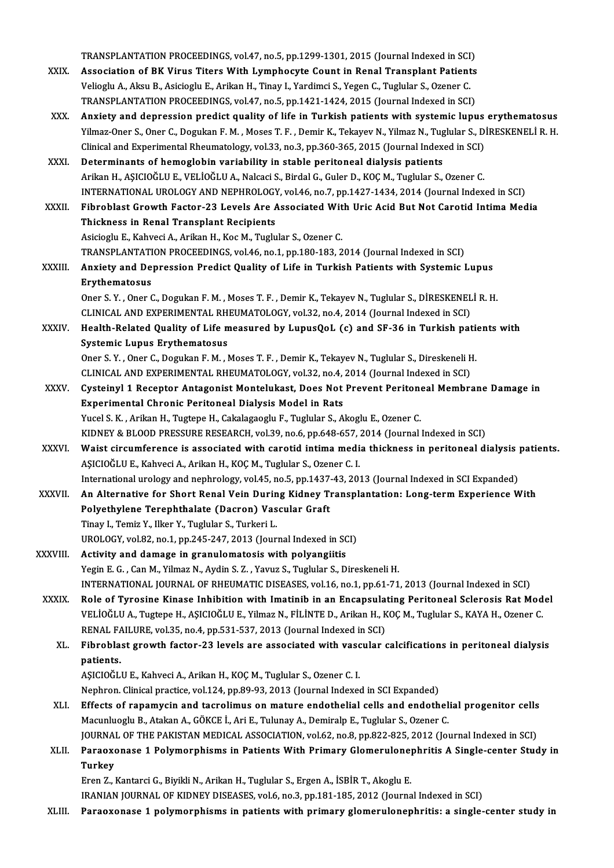TRANSPLANTATION PROCEEDINGS, vol.47, no.5, pp.1299-1301, 2015 (Journal Indexed in SCI)<br>Association of PK Vinus Titors With Lymphoeyte Count in Bonal Transplant Patients

- TRANSPLANTATION PROCEEDINGS, vol.47, no.5, pp.1299-1301, 2015 (Journal Indexed in SCI)<br>XXIX. Association of BK Virus Titers With Lymphocyte Count in Renal Transplant Patients TRANSPLANTATION PROCEEDINGS, vol.47, no.5, pp.1299-1301, 2015 (Journal Indexed in SCI<br>Association of BK Virus Titers With Lymphocyte Count in Renal Transplant Patient<br>Velioglu A., Aksu B., Asicioglu E., Arikan H., Tinay I. Association of BK Virus Titers With Lymphocyte Count in Renal Transplant Patients<br>Velioglu A., Aksu B., Asicioglu E., Arikan H., Tinay I., Yardimci S., Yegen C., Tuglular S., Ozener C.<br>TRANSPLANTATION PROCEEDINGS, vol.47,
- XXX. Anxiety and depression predict quality of life in Turkish patients with systemic lupus erythematosus TRANSPLANTATION PROCEEDINGS, vol.47, no.5, pp.1421-1424, 2015 (Journal Indexed in SCI)<br>Anxiety and depression predict quality of life in Turkish patients with systemic lupus erythematosus<br>Yilmaz-Oner S., Oner C., Dogukan F Anxiety and depression predict quality of life in Turkish patients with systemic lupus<br>Yilmaz-Oner S., Oner C., Dogukan F. M. , Moses T. F. , Demir K., Tekayev N., Yilmaz N., Tuglular S., D.<br>Clinical and Experimental Rheum Yilmaz-Oner S., Oner C., Dogukan F. M. , Moses T. F. , Demir K., Tekayev N., Yilmaz N., Tug<br>Clinical and Experimental Rheumatology, vol.33, no.3, pp.360-365, 2015 (Journal Index<br>XXXI. Determinants of hemoglobin variability
- Clinical and Experimental Rheumatology, vol.33, no.3, pp.360-365, 2015 (Journal Indexed in SCI)<br>Determinants of hemoglobin variability in stable peritoneal dialysis patients<br>Arikan H., ASICIOĞLU E., VELİOĞLU A., Nalcaci S. Determinants of hemoglobin variability in stable peritoneal dialysis patients<br>Arikan H., AŞICIOĞLU E., VELİOĞLU A., Nalcaci S., Birdal G., Guler D., KOÇ M., Tuglular S., Ozener C.<br>INTERNATIONAL UROLOGY AND NEPHROLOGY, vol. Arikan H., AŞICIOĞLU E., VELİOĞLU A., Nalcaci S., Birdal G., Guler D., KOÇ M., Tuglular S., Ozener C.<br>INTERNATIONAL UROLOGY AND NEPHROLOGY, vol.46, no.7, pp.1427-1434, 2014 (Journal Indexed in SCI)<br>XXXII. Fibroblast Growth
- INTERNATIONAL UROLOGY AND NEPHROLOGY<br>Fibroblast Growth Factor-23 Levels Are *f*<br>Thickness in Renal Transplant Recipients Fibroblast Growth Factor-23 Levels Are Associated With Uric Acid But Not Carotid Intima Media<br>Thickness in Renal Transplant Recipients<br>Asicioglu E., Kahveci A., Arikan H., Koc M., Tuglular S., Ozener C.

Thickness in Renal Transplant Recipients<br>Asicioglu E., Kahveci A., Arikan H., Koc M., Tuglular S., Ozener C.<br>TRANSPLANTATION PROCEEDINGS, vol.46, no.1, pp.180-183, 2014 (Journal Indexed in SCI)<br>Anviety and Dennession Bredi XXXIII. Anxiety and Depression Predict Quality of Life in Turkish Patients with Systemic Lupus<br>Erythematosus TRANSPLANTATI<br>Anxiety and De<br>Erythematosus<br>Oper S. Y. Oper G

Anxiety and Depression Predict Quality of Life in Turkish Patients with Systemic Lupus<br>Erythematosus<br>Oner S.Y. , Oner C., Dogukan F. M. , Moses T. F. , Demir K., Tekayev N., Tuglular S., DİRESKENELİ R. H.<br>CLINICAL AND EXPE Erythematosus<br>Oner S. Y. , Oner C., Dogukan F. M. , Moses T. F. , Demir K., Tekayev N., Tuglular S., DİRESKENEL<br>CLINICAL AND EXPERIMENTAL RHEUMATOLOGY, vol.32, no.4, 2014 (Journal Indexed in SCI)<br>Health Related Quality of Oner S. Y. , Oner C., Dogukan F. M. , Moses T. F. , Demir K., Tekayev N., Tuglular S., DİRESKENELİ R. H.<br>CLINICAL AND EXPERIMENTAL RHEUMATOLOGY, vol.32, no.4, 2014 (Journal Indexed in SCI)<br>XXXIV. Health-Related Quality of

CLINICAL AND EXPERIMENTAL RH<br>Health-Related Quality of Life m<br>Systemic Lupus Erythematosus Health-Related Quality of Life measured by LupusQoL (c) and SF-36 in Turkish pations.<br>Systemic Lupus Erythematosus<br>Oner S.Y., Oner C., Dogukan F. M., Moses T. F., Demir K., Tekayev N., Tuglular S., Direskeneli H.<br>CLINICAL Systemic Lupus Erythematosus<br>Oner S. Y. , Oner C., Dogukan F. M. , Moses T. F. , Demir K., Tekayev N., Tuglular S., Direskeneli H.<br>CLINICAL AND EXPERIMENTAL RHEUMATOLOGY, vol.32, no.4, 2014 (Journal Indexed in SCI)

- Oner S. Y. , Oner C., Dogukan F. M. , Moses T. F. , Demir K., Tekayev N., Tuglular S., Direskeneli H.<br>CLINICAL AND EXPERIMENTAL RHEUMATOLOGY, vol.32, no.4, 2014 (Journal Indexed in SCI)<br>XXXV. Cysteinyl 1 Receptor Antagonis CLINICAL AND EXPERIMENTAL RHEUMATOLOGY, vol.32, no.4,<br>Cysteinyl 1 Receptor Antagonist Montelukast, Does Not<br>Experimental Chronic Peritoneal Dialysis Model in Rats<br>Vusel S.K., Arikan H. Tugtane H. Cakalagoschu E. Tughlar S. Cysteinyl 1 Receptor Antagonist Montelukast, Does Not Prevent Peritone<br>Experimental Chronic Peritoneal Dialysis Model in Rats<br>Yucel S. K. , Arikan H., Tugtepe H., Cakalagaoglu F., Tuglular S., Akoglu E., Ozener C.<br>KIDNEV & Experimental Chronic Peritoneal Dialysis Model in Rats<br>Yucel S. K. , Arikan H., Tugtepe H., Cakalagaoglu F., Tuglular S., Akoglu E., Ozener C.<br>KIDNEY & BLOOD PRESSURE RESEARCH, vol.39, no.6, pp.648-657, 2014 (Journal Index
- Yucel S. K. , Arikan H., Tugtepe H., Cakalagaoglu F., Tuglular S., Akoglu E., Ozener C.<br>KIDNEY & BLOOD PRESSURE RESEARCH, vol.39, no.6, pp.648-657, 2014 (Journal Indexed in SCI)<br>XXXVI. Waist circumference is associated wit KIDNEY & BLOOD PRESSURE RESEARCH, vol.39, no.6, pp.648-657, .<br>Waist circumference is associated with carotid intima medi<br>AŞICIOĞLU E., Kahveci A., Arikan H., KOÇ M., Tuglular S., Ozener C. I.<br>International urelegy and nonb Waist circumference is associated with carotid intima media thickness in peritoneal dialysis politically is a<br>ASICIOĞLU E., Kahveci A., Arikan H., KOÇ M., Tuglular S., Ozener C. I.<br>International urology and nephrology, vol AŞICIOĞLU E., Kahveci A., Arikan H., KOÇ M., Tuglular S., Ozener C. I.<br>International urology and nephrology, vol.45, no.5, pp.1437-43, 2013 (Journal Indexed in SCI Expanded)<br>XXXVII. An Alternative for Short Renal Vein Duri
- International urology and nephrology, vol.45, no.5, pp.1437<br>An Alternative for Short Renal Vein During Kidney Ti<br>Polyethylene Terephthalate (Dacron) Vascular Graft<br>Tinov L. Tomiz V. Wan Y. Tughdar S. Tugkoni L. An Alternative for Short Renal Vein During Kidney Transplantation: Long-term Experience With<br>Polyethylene Terephthalate (Dacron) Vascular Graft<br>Tinay I., Temiz Y., Ilker Y., Tuglular S., Turkeri L. Polyethylene Terephthalate (Dacron) Vascular Graft<br>Tinay I., Temiz Y., Ilker Y., Tuglular S., Turkeri L.<br>UROLOGY, vol.82, no.1, pp.245-247, 2013 (Journal Indexed in SCI)<br>Activity and damage in grapulamatesis with polyengit Tinay I., Temiz Y., Ilker Y., Tuglular S., Turkeri L.<br>UROLOGY, vol.82, no.1, pp.245-247, 2013 (Journal Indexed in SC<br>XXXVIII. Activity and damage in granulomatosis with polyangiitis<br>Vegin E.C., Cap M. Vilmar N. Audin S. Z.
- Activity and damage in granulomatosis with polyangiitis<br>Yegin E.G., Can M., Yilmaz N., Aydin S. Z., Yavuz S., Tuglular S., Direskeneli H. INTERNATIONAL JOURNALOFRHEUMATICDISEASES,vol.16,no.1,pp.61-71,2013 (Journal Indexed inSCI)
- XXXIX. Role of Tyrosine Kinase Inhibition with Imatinib in an Encapsulating Peritoneal Sclerosis Rat Model INTERNATIONAL JOURNAL OF RHEUMATIC DISEASES, vol.16, no.1, pp.61-71, 2013 (Journal Indexed in SCI)<br>Role of Tyrosine Kinase Inhibition with Imatinib in an Encapsulating Peritoneal Sclerosis Rat Mod<br>VELİOĞLU A., Tugtepe H., Role of Tyrosine Kinase Inhibition with Imatinib in an Encapsula<br>VELİOĞLU A., Tugtepe H., AŞICIOĞLU E., Yilmaz N., FİLİNTE D., Arikan H., K<br>RENAL FAILURE, vol.35, no.4, pp.531-537, 2013 (Journal Indexed in SCI)<br>Fibroblast VELİOĞLU A., Tugtepe H., AŞICIOĞLU E., Yilmaz N., FİLİNTE D., Arikan H., KOÇ M., Tuglular S., KAYA H., Ozener C.<br>RENAL FAILURE, vol.35, no.4, pp.531-537, 2013 (Journal Indexed in SCI)<br>XL. Fibroblast growth factor-23 le

### RENAL FAILURE, vol.35, no.4, pp.531-537, 2013 (Journal Indexed in SCI)<br>Fibroblast growth factor-23 levels are associated with vascular of<br>patients.<br>ASICIOĞLU E., Kahveci A., Arikan H., KOÇ M., Tuglular S., Ozener C. I. XL. Fibroblast growth factor-23 levels are associated with vascular calcifications in peritoneal dialysis

Nephron. Clinical practice, vol.124, pp.89-93, 2013 (Journal Indexed in SCI Expanded)

AŞICIOĞLU E., Kahveci A., Arikan H., KOÇ M., Tuglular S., Ozener C. I.<br>Nephron. Clinical practice, vol.124, pp.89-93, 2013 (Journal Indexed in SCI Expanded)<br>XLI. Effects of rapamycin and tacrolimus on mature endothelial ce Nephron. Clinical practice, vol.124, pp.89-93, 2013 (Journal Indexed in SCI Expanded)<br>Effects of rapamycin and tacrolimus on mature endothelial cells and endothel<br>Macunluoglu B., Atakan A., GÖKCE İ., Ari E., Tulunay A., De Effects of rapamycin and tacrolimus on mature endothelial cells and endothelial progenitor cells<br>Macunluoglu B., Atakan A., GÖKCE İ., Ari E., Tulunay A., Demiralp E., Tuglular S., Ozener C.<br>JOURNAL OF THE PAKISTAN MEDICAL

Macunluoglu B., Atakan A., GÖKCE İ., Ari E., Tulunay A., Demiralp E., Tuglular S., Ozener C.<br>JOURNAL OF THE PAKISTAN MEDICAL ASSOCIATION, vol.62, no.8, pp.822-825, 2012 (Journal Indexed in SCI)<br>XLII. Paraoxonase 1 Poly JOURNA<br><mark>Paraox</mark><br>Turkey<br><sup>Fron 7</sup> Paraoxonase 1 Polymorphisms in Patients With Primary Glomerulone<br>Turkey<br>Eren Z., Kantarci G., Biyikli N., Arikan H., Tuglular S., Ergen A., İSBİR T., Akoglu E.<br>IRANIAN JOURNAL OE KIDNEY DISEASES .vel 6 .po 3. pp.191.195. 2 Turkey<br>Eren Z., Kantarci G., Biyikli N., Arikan H., Tuglular S., Ergen A., İSBİR T., Akoglu E.<br>IRANIAN JOURNAL OF KIDNEY DISEASES, vol.6, no.3, pp.181-185, 2012 (Journal Indexed in SCI)

XLIII. Paraoxonase 1 polymorphisms in patients with primary glomerulonephritis: a single-center study in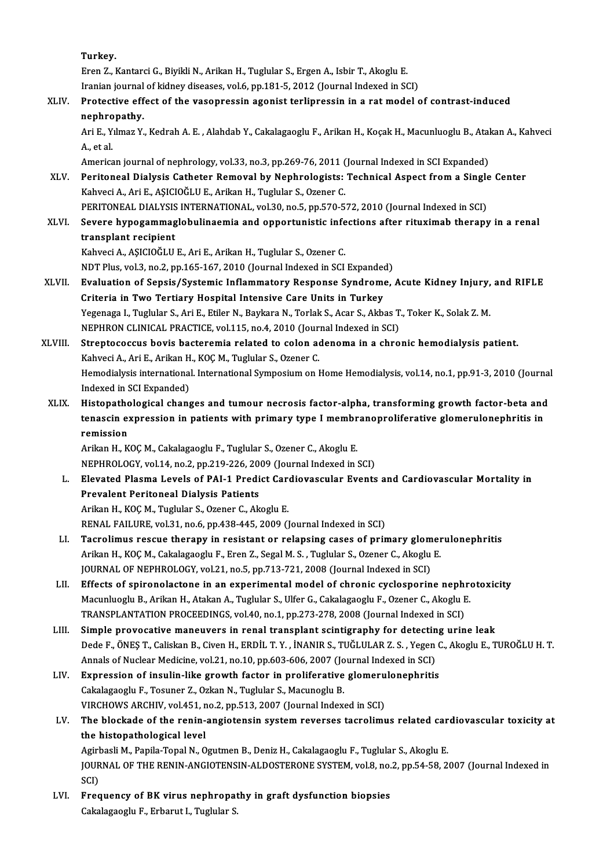Turkey. ErenZ.,KantarciG.,BiyikliN.,ArikanH.,Tuglular S.,ErgenA., IsbirT.,AkogluE. Iranian journal of kidney diseases, vol.6, pp.181-5, 2012 (Journal Indexed in SCI) Eren Z., Kantarci G., Biyikli N., Arikan H., Tuglular S., Ergen A., Isbir T., Akoglu E.<br>Iranian journal of kidney diseases, vol.6, pp.181-5, 2012 (Journal Indexed in SCI)<br>XLIV. Protective effect of the vasopressin agonist **Iranian journal<br>Protective eff<br>nephropathy.**<br>Ari E. Vilmaz V. Protective effect of the vasopressin agonist terlipressin in a rat model of contrast-induced<br>nephropathy.<br>Ari E., Yılmaz Y., Kedrah A. E. , Alahdab Y., Cakalagaoglu F., Arikan H., Koçak H., Macunluoglu B., Atakan A., Kahve nephropathy.<br>Ari E., Yılmaz Y., Kedrah A. E. , Alahdab Y., Cakalagaoglu F., Arikan H., Koçak H., Macunluoglu B., Ata<br>A., et al.<br>American journal of nephrology, vol.33, no.3, pp.269-76, 2011 (Journal Indexed in SCI Expanded Ari E., Yılmaz Y., Kedrah A. E. , Alahdab Y., Cakalagaoglu F., Arikan H., Koçak H., Macunluoglu B., Atal<br>A., et al.<br>American journal of nephrology, vol.33, no.3, pp.269-76, 2011 (Journal Indexed in SCI Expanded)<br>Peritoneal A., et al.<br>American journal of nephrology, vol.33, no.3, pp.269-76, 2011 (Journal Indexed in SCI Expanded)<br>XLV. Peritoneal Dialysis Catheter Removal by Nephrologists: Technical Aspect from a Single Center<br>Kehyesi A. Ari KahveciA.,AriE.,AŞICIOĞLUE.,ArikanH.,Tuglular S.,Ozener C. Peritoneal Dialysis Catheter Removal by Nephrologists: Technical Aspect from a Single<br>Kahveci A., Ari E., AŞICIOĞLU E., Arikan H., Tuglular S., Ozener C.<br>PERITONEAL DIALYSIS INTERNATIONAL, vol.30, no.5, pp.570-572, 2010 (J XLVI. Severe hypogammaglobulinaemia and opportunistic infections after rituximab therapy in a renal PERITONEAL DIALYSIS INTERNATIONAL, vol.30, no.5, pp.570-572, 2010 (Journal Indexed in SCI) KahveciA.,AŞICIOĞLUE.,AriE.,ArikanH.,Tuglular S.,Ozener C. transplant recipient<br>Kahveci A., AŞICIOĞLU E., Ari E., Arikan H., Tuglular S., Ozener C.<br>NDT Plus, vol.3, no.2, pp.165-167, 2010 (Journal Indexed in SCI Expanded)<br>Evoluction of Sanaja (Systemia Inflammatery Pesnonee Syndro Kahveci A., AŞICIOĞLU E., Ari E., Arikan H., Tuglular S., Ozener C.<br>NDT Plus, vol.3, no.2, pp.165-167, 2010 (Journal Indexed in SCI Expanded)<br>XLVII. Evaluation of Sepsis/Systemic Inflammatory Response Syndrome, Acute K NDT Plus, vol.3, no.2, pp.165-167, 2010 (Journal Indexed in SCI Expanded<br>Evaluation of Sepsis/Systemic Inflammatory Response Syndrome<br>Criteria in Two Tertiary Hospital Intensive Care Units in Turkey<br>Yezenega L. Turkklar S. Evaluation of Sepsis/Systemic Inflammatory Response Syndrome, Acute Kidney Injury,<br>Criteria in Two Tertiary Hospital Intensive Care Units in Turkey<br>Yegenaga I., Tuglular S., Ari E., Etiler N., Baykara N., Torlak S., Acar S Criteria in Two Tertiary Hospital Intensive Care Units in Turkey<br>Yegenaga I., Tuglular S., Ari E., Etiler N., Baykara N., Torlak S., Acar S., Akbas T<br>NEPHRON CLINICAL PRACTICE, vol.115, no.4, 2010 (Journal Indexed in SCI)<br> Yegenaga I., Tuglular S., Ari E., Etiler N., Baykara N., Torlak S., Acar S., Akbas T., Toker K., Solak Z. M.<br>NEPHRON CLINICAL PRACTICE, vol.115, no.4, 2010 (Journal Indexed in SCI)<br>XLVIII. Streptococcus bovis bacteremia re NEPHRON CLINICAL PRACTICE, vol.115, no.4, 2010 (Journal Streptococcus bovis bacteremia related to colon additional S.<br>Kahveci A., Ari E., Arikan H., KOÇ M., Tuglular S., Ozener C.<br>Hamodialysis international International S Hemodialysis international. International Symposium on Home Hemodialysis, vol.14, no.1, pp.91-3, 2010 (Journal Indexed in SCI Expanded) Kahveci A., Ari E., Arikan H., KOC M., Tuglular S., Ozener C. Hemodialysis international. International Symposium on Home Hemodialysis, vol.14, no.1, pp.91-3, 2010 (Journal<br>Indexed in SCI Expanded)<br>XLIX. Histopathological changes and tumour necrosis factor-alpha, transforming growth Indexed in SCI Expanded)<br>Histopathological changes and tumour necrosis factor-alpha, transforming growth factor-beta and<br>tenascin expression in patients with primary type I membranoproliferative glomerulonephritis in<br>remis Histopatho<br>tenascin ex<br>remission<br>Arikan H K tenascin expression in patients with primary type I membranoproliferative glomerulonephritis in<br>remission<br>Arikan H., KOÇ M., Cakalagaoglu F., Tuglular S., Ozener C., Akoglu E. NEPHROLOGY, vol.14, no.2, pp.219-226, 2009 (Journal Indexed in SCI) Arikan H., KOÇ M., Cakalagaoglu F., Tuglular S., Ozener C., Akoglu E.<br>NEPHROLOGY, vol.14, no.2, pp.219-226, 2009 (Journal Indexed in SCI)<br>L. Elevated Plasma Levels of PAI-1 Predict Cardiovascular Events and Cardiovascular NEPHROLOGY, vol.14, no.2, pp.219-226, 20<br>Elevated Plasma Levels of PAI-1 Predi<br>Prevalent Peritoneal Dialysis Patients<br>Arikan H. KOCM, Tughdar S. Ozener G. Ak Elevated Plasma Levels of PAI-1 Predict Care<br>Prevalent Peritoneal Dialysis Patients<br>Arikan H., KOÇ M., Tuglular S., Ozener C., Akoglu E.<br>PENAL EAU UPE vol 31 no 6 np 439 445 3009 (1 Prevalent Peritoneal Dialysis Patients<br>Arikan H., KOÇ M., Tuglular S., Ozener C., Akoglu E.<br>RENAL FAILURE, vol.31, no.6, pp.438-445, 2009 (Journal Indexed in SCI) Arikan H., KOÇ M., Tuglular S., Ozener C., Akoglu E.<br>RENAL FAILURE, vol.31, no.6, pp.438-445, 2009 (Journal Indexed in SCI)<br>LI. Tacrolimus rescue therapy in resistant or relapsing cases of primary glomerulonephritis<br>Arikan RENAL FAILURE, vol.31, no.6, pp.438-445, 2009 (Journal Indexed in SCI)<br>Tacrolimus rescue therapy in resistant or relapsing cases of primary glomer<br>Arikan H., KOÇ M., Cakalagaoglu F., Eren Z., Segal M. S. , Tuglular S., Oze Tacrolimus rescue therapy in resistant or relapsing cases of primary glom<br>Arikan H., KOÇ M., Cakalagaoglu F., Eren Z., Segal M. S. , Tuglular S., Ozener C., Akoglu<br>JOURNAL OF NEPHROLOGY, vol.21, no.5, pp.713-721, 2008 (Jou Arikan H., KOÇ M., Cakalagaoglu F., Eren Z., Segal M. S. , Tuglular S., Ozener C., Akoglu E.<br>JOURNAL OF NEPHROLOGY, vol.21, no.5, pp.713-721, 2008 (Journal Indexed in SCI)<br>LII. Effects of spironolactone in an experimental JOURNAL OF NEPHROLOGY, vol.21, no.5, pp.713-721, 2008 (Journal Indexed in SCI)<br>Effects of spironolactone in an experimental model of chronic cyclosporine nephre<br>Macunluoglu B., Arikan H., Atakan A., Tuglular S., Ulfer G., Macunluoglu B., Arikan H., Atakan A., Tuglular S., Ulfer G., Cakalagaoglu F., Ozener C., Akoglu E.<br>TRANSPLANTATION PROCEEDINGS, vol.40, no.1, pp.273-278, 2008 (Journal Indexed in SCI) LIII. Simple provocative maneuvers in renal transplant scintigraphy for detecting urine leak Dede F.,ÖNEŞT.,CaliskanB.,CivenH.,ERDİL T.Y. , İNANIRS.,TUĞLULARZ.S. ,YegenC.,AkogluE.,TUROĞLUH.T. Simple provocative maneuvers in renal transplant scintigraphy for detectin<br>Dede F., ÖNEŞ T., Caliskan B., Civen H., ERDİL T. Y. , İNANIR S., TUĞLULAR Z. S. , Yegen<br>Annals of Nuclear Medicine, vol.21, no.10, pp.603-606, 200 Dede F., ÖNEŞ T., Caliskan B., Civen H., ERDİL T. Y., İNANIR S., TUĞLULAR Z. S., Yegen C<br>Annals of Nuclear Medicine, vol.21, no.10, pp.603-606, 2007 (Journal Indexed in SCI)<br>LIV. Expression of insulin-like growth factor in Annals of Nuclear Medicine, vol.21, no.10, pp.603-606, 2007 (Jonet Cakalagaoglu F., Tosuner Z., Ozkan N., Tuglular S., Macunoglu B.<br>Cakalagaoglu F., Tosuner Z., Ozkan N., Tuglular S., Macunoglu B.<br>VIBCHOWS ABCHIV, vol.451, Expression of insulin-like growth factor in proliferative glomeru<br>Cakalagaoglu F., Tosuner Z., Ozkan N., Tuglular S., Macunoglu B.<br>VIRCHOWS ARCHIV, vol.451, no.2, pp.513, 2007 (Journal Indexed in SCI)<br>The blockade of the r Cakalagaoglu F., Tosuner Z., Ozkan N., Tuglular S., Macunoglu B.<br>VIRCHOWS ARCHIV, vol.451, no.2, pp.513, 2007 (Journal Indexed in SCI)<br>LV. The blockade of the renin-angiotensin system reverses tacrolimus related cardiovasc VIRCHOWS ARCHIV, vol.451, no.2, pp.513, 2007 (Journal Indexed in SCI)<br>The blockade of the renin-angiotensin system reverses tacrolimus related car<br>the histopathological level<br>Agirbasli M., Papila-Topal N., Ogutmen B., Deni The blockade of the renin-angiotensin system reverses tacrolimus related car<br>the histopathological level<br>Agirbasli M., Papila-Topal N., Ogutmen B., Deniz H., Cakalagaoglu F., Tuglular S., Akoglu E.<br>JOUPMAL OF THE RENIN ANC the histopathological level<br>Agirbasli M., Papila-Topal N., Ogutmen B., Deniz H., Cakalagaoglu F., Tuglular S., Akoglu E.<br>JOURNAL OF THE RENIN-ANGIOTENSIN-ALDOSTERONE SYSTEM, vol.8, no.2, pp.54-58, 2007 (Journal Indexed in<br> Agir<mark>l</mark><br>JOUR<br>SCI)<br>Eres JOURNAL OF THE RENIN-ANGIOTENSIN-ALDOSTERONE SYSTEM, vol.8, no.<br>SCI)<br>LVI. Frequency of BK virus nephropathy in graft dysfunction biopsies<br>Calalagoggly E. Ephanut L. Tughdan S. SCI)<br>Frequency of BK virus nephropat<br>Cakalagaoglu F., Erbarut I., Tuglular S.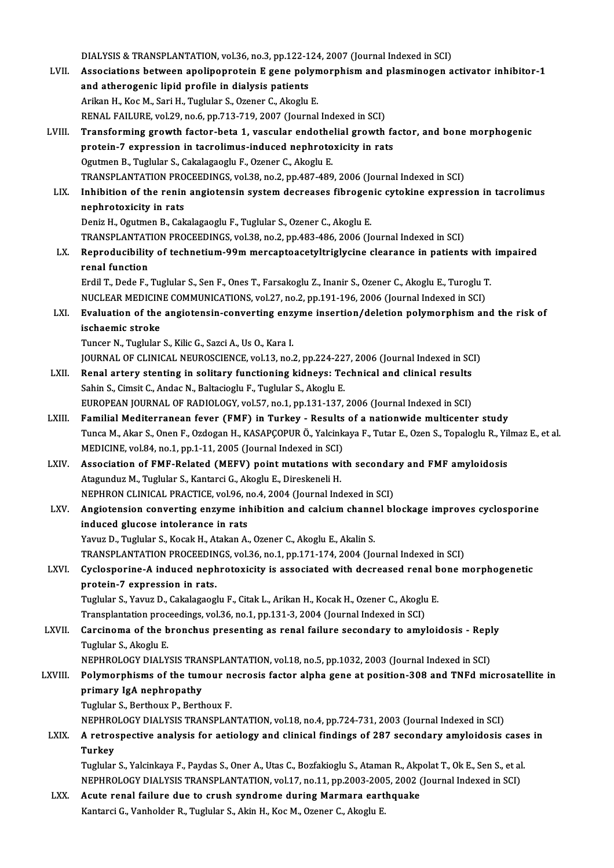DIALYSIS & TRANSPLANTATION, vol.36, no.3, pp.122-124, 2007 (Journal Indexed in SCI)<br>Associations between anolinennetsin E sens polymernbism and pleaminessen a LVII. Associations between apolipoprotein E gene polymorphism and plasminogen activator inhibitor-1<br>and atherogenic lipid profile in dialysis patients DIALYSIS & TRANSPLANTATION, vol.36, no.3, pp.122-1<br>Associations between apolipoprotein E gene poly<br>and atherogenic lipid profile in dialysis patients<br>Arikan H. Kee M. Sari H. Tughlar S. Ozanor C. Alsochu Arikan H., Koc M., Sari H., Tuglular S., Ozener C., Akoglu E. RENAL FAILURE, vol.29, no.6, pp.713-719, 2007 (Journal Indexed in SCI) Arikan H., Koc M., Sari H., Tuglular S., Ozener C., Akoglu E.<br>RENAL FAILURE, vol.29, no.6, pp.713-719, 2007 (Journal Indexed in SCI)<br>LVIII. Transforming growth factor-beta 1, vascular endothelial growth factor, and bon RENAL FAILURE, vol.29, no.6, pp.713-719, 2007 (Journal Indexed in SCI)<br>Transforming growth factor-beta 1, vascular endothelial growth fa<br>protein-7 expression in tacrolimus-induced nephrotoxicity in rats<br>Ogutmon B. Tughlar protein-7 expression in tacrolimus-induced nephrotoxicity in rats Ogutmen B., Tuglular S., Cakalagaoglu F., Ozener C., Akoglu E. protein-7 expression in tacrolimus-induced nephrotoxicity in rats<br>Ogutmen B., Tuglular S., Cakalagaoglu F., Ozener C., Akoglu E.<br>TRANSPLANTATION PROCEEDINGS, vol.38, no.2, pp.487-489, 2006 (Journal Indexed in SCI)<br>Inhibiti Ogutmen B., Tuglular S., Cakalagaoglu F., Ozener C., Akoglu E.<br>TRANSPLANTATION PROCEEDINGS, vol.38, no.2, pp.487-489, 2006 (Journal Indexed in SCI)<br>LIX. Inhibition of the renin angiotensin system decreases fibrogenic c TRANSPLANTATION PRO<br>Inhibition of the renin<br>nephrotoxicity in rats<br>Doniz H. Ogutmon B. Col Inhibition of the renin angiotensin system decreases fibrogen<br>nephrotoxicity in rats<br>Deniz H., Ogutmen B., Cakalagaoglu F., Tuglular S., Ozener C., Akoglu E.<br>TRANSPLANTATION PROCEEDINGS vol 29 no 2 nn 492 496 2006 (Ic nephrotoxicity in rats<br>Deniz H., Ogutmen B., Cakalagaoglu F., Tuglular S., Ozener C., Akoglu E.<br>TRANSPLANTATION PROCEEDINGS, vol.38, no.2, pp.483-486, 2006 (Journal Indexed in SCI) Deniz H., Ogutmen B., Cakalagaoglu F., Tuglular S., Ozener C., Akoglu E.<br>TRANSPLANTATION PROCEEDINGS, vol.38, no.2, pp.483-486, 2006 (Journal Indexed in SCI)<br>LX. Reproducibility of technetium-99m mercaptoacetyltriglycine c TRANSPLANTAT<br>Reproducibility<br>renal function<br>Erdil T. Dodo E Reproducibility of technetium-99m mercaptoacetyltriglycine clearance in patients with<br>renal function<br>Erdil T., Dede F., Tuglular S., Sen F., Ones T., Farsakoglu Z., Inanir S., Ozener C., Akoglu E., Turoglu T.<br>NUCLEAR MEDIC renal function<br>Erdil T., Dede F., Tuglular S., Sen F., Ones T., Farsakoglu Z., Inanir S., Ozener C., Akoglu E., Turoglu T.<br>NUCLEAR MEDICINE COMMUNICATIONS, vol.27, no.2, pp.191-196, 2006 (Journal Indexed in SCI) Erdil T., Dede F., Tuglular S., Sen F., Ones T., Farsakoglu Z., Inanir S., Ozener C., Akoglu E., Turoglu T.<br>NUCLEAR MEDICINE COMMUNICATIONS, vol.27, no.2, pp.191-196, 2006 (Journal Indexed in SCI)<br>LXI. Evaluation of th NUCLEAR MEDICIN<br>Evaluation of the<br>ischaemic stroke ischaemic stroke<br>Tuncer N., Tuglular S., Kilic G., Sazci A., Us O., Kara I. JOURNAL OF CLINICAL NEUROSCIENCE, vol.13, no.2, pp.224-227, 2006 (Journal Indexed in SCI) LXII. Renal artery stenting in solitary functioning kidneys: Technical and clinical results Sahin S., Cimsit C., Andac N., Baltacioglu F., Tuglular S., Akoglu E. EUROPEAN JOURNAL OF RADIOLOGY, vol.57, no.1, pp.131-137, 2006 (Journal Indexed in SCI) LXIII. Familial Mediterranean fever (FMF) in Turkey - Results of a nationwide multicenter study EUROPEAN JOURNAL OF RADIOLOGY, vol.57, no.1, pp.131-137, 2006 (Journal Indexed in SCI)<br>Familial Mediterranean fever (FMF) in Turkey - Results of a nationwide multicenter study<br>Tunca M., Akar S., Onen F., Ozdogan H., KASAPÇ Familial Mediterranean fever (FMF) in Turkey - Results<br>Tunca M., Akar S., Onen F., Ozdogan H., KASAPÇOPUR Ö., Yalcink<br>MEDICINE, vol.84, no.1, pp.1-11, 2005 (Journal Indexed in SCI)<br>Association of EME Belated (MEEV) point m Tunca M., Akar S., Onen F., Ozdogan H., KASAPÇOPUR Ö., Yalcinkaya F., Tutar E., Ozen S., Topaloglu R., Yil<br>MEDICINE, vol.84, no.1, pp.1-11, 2005 (Journal Indexed in SCI)<br>LXIV. Association of FMF-Related (MEFV) point mutati MEDICINE, vol.84, no.1, pp.1-11, 2005 (Journal Indexed in SCI)<br>Association of FMF-Related (MEFV) point mutations with<br>Atagunduz M., Tuglular S., Kantarci G., Akoglu E., Direskeneli H. Association of FMF-Related (MEFV) point mutations with secondary and FMF amyloidosis LXV. Angiotension converting enzyme inhibition and calcium channel blockage improves cyclosporine induced glucose intolerance in rats NEPHRON CLINICAL PRACTICE, vol.96, no.4, 2004 (Journal Indexed in SCI) Yavuz D., Tuglular S., Kocak H., Atakan A., Ozener C., Akoglu E., Akalin S. induced glucose intolerance in rats<br>Yavuz D., Tuglular S., Kocak H., Atakan A., Ozener C., Akoglu E., Akalin S.<br>TRANSPLANTATION PROCEEDINGS, vol.36, no.1, pp.171-174, 2004 (Journal Indexed in SCI)<br>Systemaning A indused non Yavuz D., Tuglular S., Kocak H., Atakan A., Ozener C., Akoglu E., Akalin S.<br>TRANSPLANTATION PROCEEDINGS, vol.36, no.1, pp.171-174, 2004 (Journal Indexed in SCI)<br>LXVI. Cyclosporine-A induced nephrotoxicity is associated wit TRANSPLANTATION PROCEEDIN<br>Cyclosporine-A induced neph<br>protein-7 expression in rats.<br>Turbler S. Varur D. Celtalages: Cyclosporine-A induced nephrotoxicity is associated with decreased renal bone morphogenetic<br>protein-7 expression in rats.<br>Tuglular S., Yavuz D., Cakalagaoglu F., Citak L., Arikan H., Kocak H., Ozener C., Akoglu E. protein-7 expression in rats.<br>Tuglular S., Yavuz D., Cakalagaoglu F., Citak L., Arikan H., Kocak H., Ozener C., Akoglu<br>Transplantation proceedings, vol.36, no.1, pp.131-3, 2004 (Journal Indexed in SCI)<br>Carsinoma of the bro LXVII. Carcinoma of the bronchus presenting as renal failure secondary to amyloidosis - Reply<br>Tuglular S., Akoglu E. Transplantation proc<br>Carcinoma of the b<br>Tuglular S., Akoglu E.<br>NEPUPOLOCY DIALY Carcinoma of the bronchus presenting as renal failure secondary to amyloidosis - Repl<br>Tuglular S., Akoglu E.<br>NEPHROLOGY DIALYSIS TRANSPLANTATION, vol.18, no.5, pp.1032, 2003 (Journal Indexed in SCI)<br>Polymorphisms of the tu Tuglular S., Akoglu E.<br>NEPHROLOGY DIALYSIS TRANSPLANTATION, vol.18, no.5, pp.1032, 2003 (Journal Indexed in SCI)<br>LXVIII. Polymorphisms of the tumour necrosis factor alpha gene at position-308 and TNFd microsatellite in NEPHROLOGY DIALYSIS TRAI<br>Polymorphisms of the tum<br>primary IgA nephropathy<br>Tughlar S. Pertheuy B. Perth Polymorphisms of the tumour ne<br>primary IgA nephropathy<br>Tuglular S., Berthoux P., Berthoux F.<br>NEPUPOLOCY DIALYSIS TRANSPLAN primary IgA nephropathy<br>Tuglular S., Berthoux P., Berthoux F.<br>NEPHROLOGY DIALYSIS TRANSPLANTATION, vol.18, no.4, pp.724-731, 2003 (Journal Indexed in SCI) LXIX. A retrospective analysis for aetiology and clinical findings of 287 secondary amyloidosis cases in **Turkey** A retrospective analysis for aetiology and clinical findings of 287 secondary amyloidosis case<br>Turkey<br>Tuglular S., Yalcinkaya F., Paydas S., Oner A., Utas C., Bozfakioglu S., Ataman R., Akpolat T., Ok E., Sen S., et al.<br>NE Turkey<br>Tuglular S., Yalcinkaya F., Paydas S., Oner A., Utas C., Bozfakioglu S., Ataman R., Akpolat T., Ok E., Sen S., et al<br>NEPHROLOGY DIALYSIS TRANSPLANTATION, vol.17, no.11, pp.2003-2005, 2002 (Journal Indexed in SCI)<br>Ag NEPHROLOGY DIALYSIS TRANSPLANTATION, vol.17, no.11, pp.2003-2005, 2002 (Journal Indexed in SCI)<br>LXX. Acute renal failure due to crush syndrome during Marmara earthquake Kantarci G., Vanholder R., Tuglular S., Akin H., Koc M., Ozener C., Akoglu E.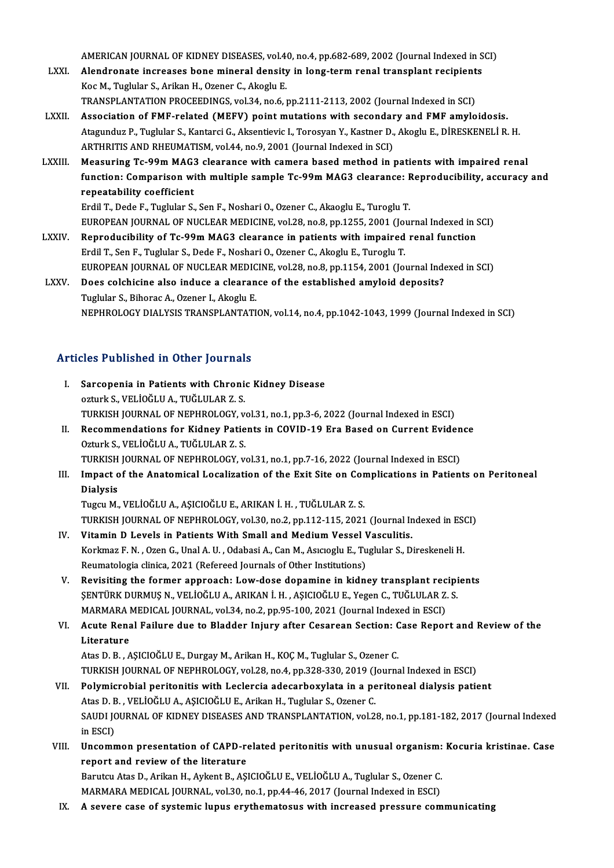AMERICAN JOURNAL OF KIDNEY DISEASES, vol.40, no.4, pp.682-689, 2002 (Journal Indexed in SCI)<br>Alondrenate increases bane mineral density in lang term renal transplant resinients

- AMERICAN JOURNAL OF KIDNEY DISEASES, vol.40, no.4, pp.682-689, 2002 (Journal Indexed in S<br>LXXI. Alendronate increases bone mineral density in long-term renal transplant recipients AMERICAN JOURNAL OF KIDNEY DISEASES, vol.4<br>Alendronate increases bone mineral density<br>Koc M., Tuglular S., Arikan H., Ozener C., Akoglu E.<br>TRANSPLANTATION PROCEEDINCS vol.24, po.6 . Alendronate increases bone mineral density in long-term renal transplant recipients<br>Koc M., Tuglular S., Arikan H., Ozener C., Akoglu E.<br>TRANSPLANTATION PROCEEDINGS, vol.34, no.6, pp.2111-2113, 2002 (Journal Indexed in SCI
- Koc M., Tuglular S., Arikan H., Ozener C., Akoglu E.<br>TRANSPLANTATION PROCEEDINGS, vol.34, no.6, pp.2111-2113, 2002 (Journal Indexed in SCI)<br>LXXII. Association of FMF-related (MEFV) point mutations with secondary and FMF am TRANSPLANTATION PROCEEDINGS, vol.34, no.6, pp.2111-2113, 2002 (Journal Indexed in SCI)<br>Association of FMF-related (MEFV) point mutations with secondary and FMF amyloidosis.<br>Atagunduz P., Tuglular S., Kantarci G., Aksentiev Association of FMF-related (MEFV) point mutations with secondary<br>Atagunduz P., Tuglular S., Kantarci G., Aksentievic I., Torosyan Y., Kastner D.,<br>ARTHRITIS AND RHEUMATISM, vol.44, no.9, 2001 (Journal Indexed in SCI)<br>Measur Atagunduz P., Tuglular S., Kantarci G., Aksentievic I., Torosyan Y., Kastner D., Akoglu E., DİRESKENELİ R. H.<br>ARTHRITIS AND RHEUMATISM, vol.44, no.9, 2001 (Journal Indexed in SCI)<br>LXXIII. Measuring Tc-99m MAG3 clearance wi
- ARTHRITIS AND RHEUMATISM, vol.44, no.9, 2001 (Journal Indexed in SCI)<br>Measuring Tc-99m MAG3 clearance with camera based method in patients with impaired renal<br>function: Comparison with multiple sample Tc-99m MAG3 clearance Measuring Tc-99m MAG:<br>function: Comparison wi<br>repeatability coefficient<br>Frdil T. Dode E. Turbler S. function: Comparison with multiple sample Tc-99m MAG3 clearance: F<br>repeatability coefficient<br>Erdil T., Dede F., Tuglular S., Sen F., Noshari O., Ozener C., Akaoglu E., Turoglu T.<br>EUROPEAN JOURNAL OF NUCLEAR MEDICINE, vol.2 repeatability coefficient<br>Erdil T., Dede F., Tuglular S., Sen F., Noshari O., Ozener C., Akaoglu E., Turoglu T.<br>EUROPEAN JOURNAL OF NUCLEAR MEDICINE, vol.28, no.8, pp.1255, 2001 (Journal Indexed in SCI)

- LXXIV. Reproducibility of Tc-99m MAG3 clearance in patients with impaired renal function Erdil T., Sen F., Tuglular S., Dede F., Noshari O., Ozener C., Akoglu E., Turoglu T. Reproducibility of Tc-99m MAG3 clearance in patients with impaired renal function<br>Erdil T., Sen F., Tuglular S., Dede F., Noshari O., Ozener C., Akoglu E., Turoglu T.<br>EUROPEAN JOURNAL OF NUCLEAR MEDICINE, vol.28, no.8, pp. Erdil T., Sen F., Tuglular S., Dede F., Noshari O., Ozener C., Akoglu E., Turoglu T.<br>EUROPEAN JOURNAL OF NUCLEAR MEDICINE, vol.28, no.8, pp.1154, 2001 (Journal Inde<br>LXXV. Does colchicine also induce a clearance of the esta
- EUROPEAN JOURNAL OF NUCLEAR MEDIC<br>Does colchicine also induce a clearan<br>Tuglular S., Bihorac A., Ozener I., Akoglu E.<br>NEPHROLOCY DIALYSIS TRANSPLANTATI Does colchicine also induce a clearance of the established amyloid deposits?<br>Tuglular S., Bihorac A., Ozener I., Akoglu E.<br>NEPHROLOGY DIALYSIS TRANSPLANTATION, vol.14, no.4, pp.1042-1043, 1999 (Journal Indexed in SCI)

### Articles Published in Other Journals

- rticles Published in Other Journals<br>I. Sarcopenia in Patients with Chronic Kidney Disease<br>Artyles VELIOČLILA TUČLILAP 7 S Sarcopenia in Patients with Chronic<br>Sarcopenia in Patients with Chronic<br>ozturk S., VELİOĞLU A., TUĞLULAR Z. S.<br>TURKISLI IQURMAL OR NERHROLOCY . ozturk S., VELİOĞLU A., TUĞLULAR Z. S.<br>TURKISH JOURNAL OF NEPHROLOGY, vol.31, no.1, pp.3-6, 2022 (Journal Indexed in ESCI) ozturk S., VELİOĞLU A., TUĞLULAR Z. S.<br>TURKISH JOURNAL OF NEPHROLOGY, vol.31, no.1, pp.3-6, 2022 (Journal Indexed in ESCI)<br>II. Recommendations for Kidney Patients in COVID-19 Era Based on Current Evidence<br>Osturk S. VELİOĞL
- TURKISH JOURNAL OF NEPHROLOGY, v<br>Recommendations for Kidney Patie<br>Ozturk S., VELİOĞLU A., TUĞLULAR Z. S.<br>TURKISH JOURNAL OF NEPHROLOCY ... Recommendations for Kidney Patients in COVID-19 Era Based on Current Eviden<br>Ozturk S., VELİOĞLU A., TUĞLULAR Z. S.<br>TURKISH JOURNAL OF NEPHROLOGY, vol.31, no.1, pp.7-16, 2022 (Journal Indexed in ESCI)<br>Impect of the Anatomis Ozturk S., VELİOĞLU A., TUĞLULAR Z. S.<br>TURKISH JOURNAL OF NEPHROLOGY, vol.31, no.1, pp.7-16, 2022 (Journal Indexed in ESCI)<br>III. Impact of the Anatomical Localization of the Exit Site on Complications in Patients on Perito
- TURKISH<br>Impact c<br>Dialysis<br>Tugay M Dialysis<br>Tugcu M., VELİOĞLU A., AŞICIOĞLU E., ARIKAN İ. H. , TUĞLULAR Z. S.

TURKISH JOURNAL OF NEPHROLOGY, vol.30, no.2, pp.112-115, 2021 (Journal Indexed in ESCI)

- IV. Vitamin D Levels in Patients With Small and Medium Vessel Vasculitis. Korkmaz F.N., Ozen G., Unal A.U., Odabasi A., Can M., Asıcıoglu E., Tuglular S., Direskeneli H. Reumatologia clinica, 2021 (Refereed Journals of Other Institutions)
- V. Revisiting the former approach: Low-dose dopamine in kidney transplant recipients Reumatologia clinica, 2021 (Refereed Journals of Other Institutions)<br>Revisiting the former approach: Low-dose dopamine in kidney transplant recipi<br>ŞENTÜRK DURMUŞ N., VELİOĞLU A., ARIKAN İ. H. , AŞICIOĞLU E., Yegen C., TUĞL Revisiting the former approach: Low-dose dopamine in kidney transplant rec<br>SENTÜRK DURMUS N., VELİOĞLU A., ARIKAN İ. H. , AŞICIOĞLU E., Yegen C., TUĞLULAR Z.<br>MARMARA MEDICAL JOURNAL, vol.34, no.2, pp.95-100, 2021 (Journal ŞENTÜRK DURMUŞ N., VELİOĞLU A., ARIKAN İ. H. , AŞICIOĞLU E., Yegen C., TUĞLULAR Z. S.<br>MARMARA MEDICAL JOURNAL, vol.34, no.2, pp.95-100, 2021 (Journal Indexed in ESCI)<br>VI. Acute Renal Failure due to Bladder Injury after
- MARMARA<br>**Acute Rena<br>Literature**<br>Atas D. B. A Acute Renal Failure due to Bladder Injury after Cesarean Section: C<br>Literature<br>Atas D. B. , AŞICIOĞLU E., Durgay M., Arikan H., KOÇ M., Tuglular S., Ozener C.<br>TURKISH JOURNAL OF NERHROLOCY, vol.28, no.4, np.228,229, 2019 ( L<mark>iterature</mark><br>Atas D. B. , AŞICIOĞLU E., Durgay M., Arikan H., KOÇ M., Tuglular S., Ozener C.<br>TURKISH JOURNAL OF NEPHROLOGY, vol.28, no.4, pp.328-330, 2019 (Journal Indexed in ESCI)<br>Polymiarabial poritonitis with Leglorgia

- Atas D. B. , AŞICIOĞLU E., Durgay M., Arikan H., KOÇ M., Tuglular S., Ozener C.<br>TURKISH JOURNAL OF NEPHROLOGY, vol.28, no.4, pp.328-330, 2019 (Journal Indexed in ESCI)<br>VII. Polymicrobial peritonitis with Leclercia adecarbo TURKISH JOURNAL OF NEPHROLOGY, vol.28, no.4, pp.328-330, 2019 (J<br>Polymicrobial peritonitis with Leclercia adecarboxylata in a pe<br>Atas D. B., VELİOĞLU A., AŞICIOĞLU E., Arikan H., Tuglular S., Ozener C.<br>SAUDI JOURNAL OF KID Polymicrobial peritonitis with Leclercia adecarboxylata in a peritoneal dialysis patient<br>Atas D. B. , VELİOĞLU A., AŞICIOĞLU E., Arikan H., Tuglular S., Ozener C.<br>SAUDI JOURNAL OF KIDNEY DISEASES AND TRANSPLANTATION, vol.2 Atas D. E<br>SAUDI JC<br>in ESCI)<br>Uncomm SAUDI JOURNAL OF KIDNEY DISEASES AND TRANSPLANTATION, vol.28, no.1, pp.181-182, 2017 (Journal Indexed<br>in ESCI)<br>VIII. Uncommon presentation of CAPD-related peritonitis with unusual organism: Kocuria kristinae. Case<br>nepert a
- in ESCI)<br>VIII. Uncommon presentation of CAPD-related peritonitis with unusual organism: Kocuria kristinae. Case<br>report and review of the literature Uncommon presentation of CAPD-related peritonitis with unusual organism:<br>report and review of the literature<br>Barutcu Atas D., Arikan H., Aykent B., AŞICIOĞLU E., VELİOĞLU A., Tuglular S., Ozener C.<br>MARMARA MEDICAL JOURNAL,

report and review of the literature<br>Barutcu Atas D., Arikan H., Aykent B., AŞICIOĞLU E., VELİOĞLU A., Tuglular S., Ozener C.<br>MARMARA MEDICAL JOURNAL, vol.30, no.1, pp.44-46, 2017 (Journal Indexed in ESCI)<br>A sevene sase of MARMARA MEDICAL JOURNAL, vol.30, no.1, pp.44-46, 2017 (Journal Indexed in ESCI)<br>IX. A severe case of systemic lupus erythematosus with increased pressure communicating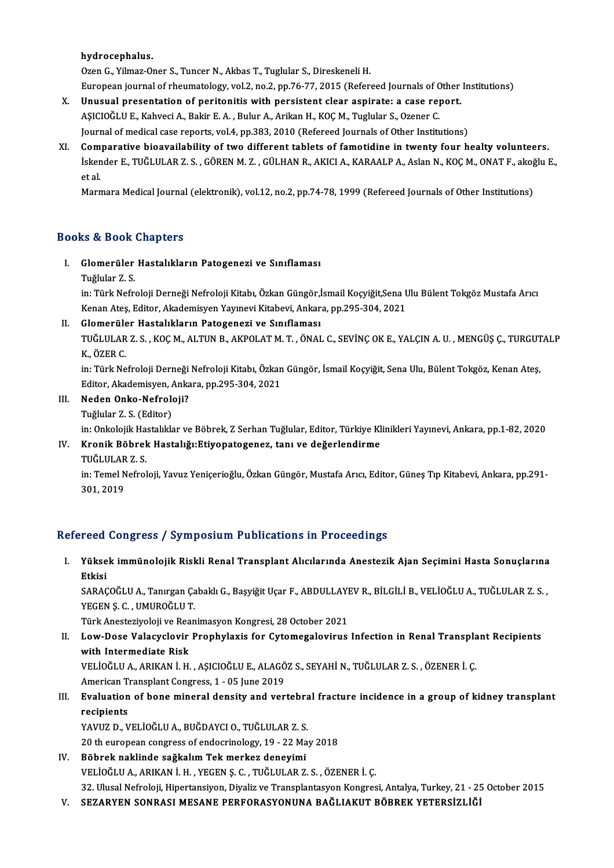#### hydrocephalus.

Ozen G., Yilmaz-Oner S., Tuncer N., Akbas T., Tuglular S., Direskeneli H.

European journal of rheumatology, vol.2, no.2, pp.76-77, 2015 (Refereed Journals of Other Institutions)

- Ozen G., Yilmaz-Oner S., Tuncer N., Akbas T., Tuglular S., Direskeneli H.<br>European journal of rheumatology, vol.2, no.2, pp.76-77, 2015 (Refereed Journals of Other<br>X. Unusual presentation of peritonitis with persistent cle European journal of rheumatology, vol.2, no.2, pp.76-77, 2015 (Refereed Journals of C<br>Unusual presentation of peritonitis with persistent clear aspirate: a case rej<br>AŞICIOĞLU E., Kahveci A., Bakir E.A. , Bulur A., Arikan H AŞICIOĞLU E., Kahveci A., Bakir E. A. , Bulur A., Arikan H., KOÇ M., Tuglular S., Ozener C.<br>Journal of medical case reports, vol.4, pp.383, 2010 (Refereed Journals of Other Institutions) AŞICIOĞLU E., Kahveci A., Bakir E. A. , Bulur A., Arikan H., KOÇ M., Tuglular S., Ozener C.<br>Journal of medical case reports, vol.4, pp.383, 2010 (Refereed Journals of Other Institutions)<br>XI. Comparative bioavailability of
- İskender E., TUĞLULAR Z. S. , GÖREN M. Z. , GÜLHAN R., AKICI A., KARAALP A., Aslan N., KOÇ M., ONAT F., akoğlu E.,<br>et al. Com<br>İsken<br>et al.<br>Marr

Marmara Medical Journal (elektronik), vol.12, no.2, pp.74-78, 1999 (Refereed Journals of Other Institutions)

### Books&Book Chapters

- I. Glomerüler Hastalıkların Patogenezi ve Sınıflaması
	- Tuğlular Z.S.

in: Türk Nefroloji Derneği Nefroloji Kitabı, Özkan Güngör,İsmail Koçyiğit,Sena Ulu Bülent Tokgöz Mustafa Arıcı Tuğlular Z. S.<br>in: Türk Nefroloji Derneği Nefroloji Kitabı, Özkan Güngör,İsmail Koçyiğit,Sena L<br>Kenan Ateş, Editor, Akademisyen Yayınevi Kitabevi, Ankara, pp.295-304, 2021<br>Clamerülar Hastalıkların Patasaneri ve Sınıflamesı in: Türk Nefroloji Derneği Nefroloji Kitabı, Özkan Güngör,İ<br>Kenan Ateş, Editor, Akademisyen Yayınevi Kitabevi, Ankar<br>II. Glomerüler Hastalıkların Patogenezi ve Sınıflaması<br>Tüğl III AR 7-S - KOG M-ALTIN R-AKROLAT M-T-ÖNAL

Kenan Ateş, Editor, Akademisyen Yayınevi Kitabevi, Ankara, pp.295-304, 2021<br>Glomerüler Hastalıkların Patogenezi ve Sınıflaması<br>TUĞLULAR Z. S. , KOÇ M., ALTUN B., AKPOLAT M. T. , ÖNAL C., SEVİNÇ OK E., YALÇIN A. U. , MENGÜŞ **Glomerüle<br>TUĞLULAR<br>K., ÖZER C.<br>in: Türk No** TUĞLULAR Z. S. , KOÇ M., ALTUN B., AKPOLAT M. T. , ÖNAL C., SEVİNÇ OK E., YALÇIN A. U. , MENGÜŞ Ç., TURGUT<br>K., ÖZER C.<br>in: Türk Nefroloji Derneği Nefroloji Kitabı, Özkan Güngör, İsmail Koçyiğit, Sena Ulu, Bülent Tokgöz, Ke

K., ÖZER C.<br>in: Türk Nefroloji Derneği Nefroloji Kitabı, Özkan<br>Editor, Akademisyen, Ankara, pp.295-304, 2021<br>Naden Onka Nefroloji? in: Türk Nefroloji Derneği<br>Editor, Akademisyen, Anka<br>III. Neden Onko-Nefroloji?<br>Tuğlular 7, S. (Editor) Editor, Akademisyen, Ankara, pp.295-304, 2021<br>III. Neden Onko-Nefroloji?<br>Tuğlular Z. S. (Editor)

- -

Neden Onko-Nefroloji?<br>Tuğlular Z. S. (Editor)<br>in: Onkolojik Hastalıklar ve Böbrek, Z Serhan Tuğlular, Editor, Türkiye Klinikleri Yayınevi, Ankara, pp.1-82, 2020<br>Knonik Böhrek Hastalığı:Etiyopatageneg, tanı ve değerlendirme

### IV. Kronik Böbrek Hastalığı:Etiyopatogenez, tanı ve değerlendirme in: Onkolojik Ha<br><mark>Kronik Böbrel</mark><br>TUĞLULAR Z. S.<br>in: Temel Nefrel

Kronik Böbrek Hastalığı:Etiyopatogenez, tanı ve değerlendirme<br>TUĞLULAR Z. S.<br>in: Temel Nefroloji, Yavuz Yeniçerioğlu, Özkan Güngör, Mustafa Arıcı, Editor, Güneş Tıp Kitabevi, Ankara, pp.291-<br>201-2010 TUĞLULAR<br>in: Temel N<br>301, 2019

# 301, 2019<br>Refereed Congress / Symposium Publications in Proceedings

efereed Congress / Symposium Publications in Proceedings<br>I. Yüksek immünolojik Riskli Renal Transplant Alıcılarında Anestezik Ajan Seçimini Hasta Sonuçlarına<br>Rikisi reed<br>Yükse<br>Etkisi<br>sapac Yüksek immünolojik Riskli Renal Transplant Alıcılarında Anestezik Ajan Seçimini Hasta Sonuçlarına<br>Etkisi<br>SARAÇOĞLU A., Tanırgan Çabaklı G., Başyiğit Uçar F., ABDULLAYEV R., BİLGİLİ B., VELİOĞLU A., TUĞLULAR Z. S. ,<br>YECEN S

<mark>Etkisi</mark><br>SARAÇOĞLU A., Tanırgan Ça<br>YEGEN Ş. C. , UMUROĞLU T.<br>Türk Anesteriyeleji ve Bean SARAÇOĞLU A., Tanırgan Çabaklı G., Başyiğit Uçar F., ABDULLAYI<br>YEGEN Ş. C. , UMUROĞLU T.<br>Türk Anesteziyoloji ve Reanimasyon Kongresi, 28 October 2021<br>Law Dasa Valasyolovir, Branhylayis far. Cytamagalayinus

### YEGEN Ş. C. , UMUROĞLU T.<br>Türk Anesteziyoloji ve Reanimasyon Kongresi, 28 October 2021<br>II. Low-Dose Valacyclovir Prophylaxis for Cytomegalovirus Infection in Renal Transplant Recipients<br>................................ Türk Anesteziyoloji ve Rea<br>Low-Dose Valacyclovir<br>with Intermediate Risk<br>VELIOČLILA ABIKAN LH Low-Dose Valacyclovir Prophylaxis for Cytomegalovirus Infection in Renal Transpla<br>with Intermediate Risk<br>VELİOĞLU A., ARIKAN İ.H., AŞICIOĞLU E., ALAGÖZ S., SEYAHİ N., TUĞLULAR Z. S. , ÖZENER İ. Ç.<br>American Transplant Consr with Intermediate Risk<br>VELİOĞLU A., ARIKAN İ. H. , AŞICIOĞLU E., ALAGÖZ S., SEYAHİ N., TUĞLULAR Z. S. , ÖZENER İ. Ç.

American Transplant Congress, 1 - 05 June 2019

### III. Evaluation of bone mineral density and vertebral fracture incidence in a group of kidney transplant recipients

YAVUZ D., VELİOĞLU A., BUĞDAYCI O., TUĞLULAR Z. S.

20 th european congress of endocrinology, 19 - 22 May 2018

### IV. Böbrek naklinde sağkalım Tek merkez deneyimi VELİOĞLUA.,ARIKANİ.H. ,YEGENŞ.C. ,TUĞLULARZ.S. ,ÖZENERİ.Ç. Böbrek naklinde sağkalım Tek merkez deneyimi<br>VELİOĞLU A., ARIKAN İ. H. , YEGEN Ş. C. , TUĞLULAR Z. S. , ÖZENER İ. Ç.<br>32. Ulusal Nefroloji, Hipertansiyon, Diyaliz ve Transplantasyon Kongresi, Antalya, Turkey, 21 - 25 Octobe VELİOĞLU A., ARIKAN İ. H. , YEGEN Ş. C. , TUĞLULAR Z. S. , ÖZENER İ. Ç.<br>32. Ulusal Nefroloji, Hipertansiyon, Diyaliz ve Transplantasyon Kongresi, Antalya, Turkey, 21 - 2!<br>V. SEZARYEN SONRASI MESANE PERFORASYONUNA BAĞLI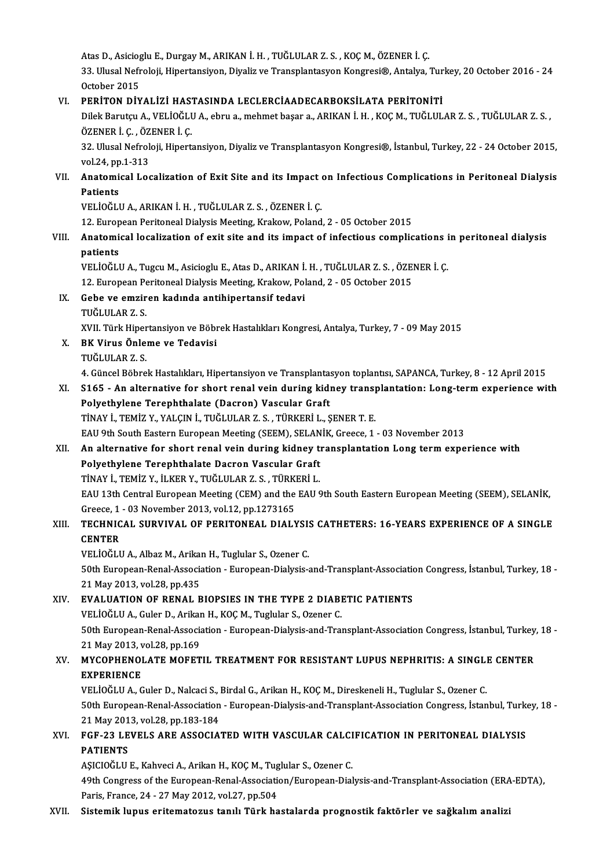Atas D., Asicioglu E., Durgay M., ARIKAN İ. H. , TUĞLULAR Z. S. , KOÇ M., ÖZENER İ. Ç.<br>22. Ulucal Nefralaji, Hinortansiyan, Divaliz ve Transplantasyon Kongresi®, Antalya Atas D., Asicioglu E., Durgay M., ARIKAN İ. H. , TUĞLULAR Z. S. , KOÇ M., ÖZENER İ. Ç.<br>33. Ulusal Nefroloji, Hipertansiyon, Diyaliz ve Transplantasyon Kongresi®, Antalya, Turkey, 20 October 2016 - 24 Atas D., Asiciog<br>33. Ulusal Nefr<br>October 2015<br>PERITON Div 33. Ulusal Nefroloji, Hipertansiyon, Diyaliz ve Transplantasyon Kongresi®, Antalya, Tur<br>October 2015<br>VI. PERİTON DİYALİZİ HASTASINDA LECLERCİAADECARBOKSİLATA PERİTONİTİ<br>Dilak Barutan A. VELİQĞI HALabru almabrat basana ADIY

October 2015<br>PERİTON DİYALİZİ HASTASINDA LECLERCİAADECARBOKSİLATA PERİTONİTİ<br>Dilek Barutçu A., VELİOĞLU A., ebru a., mehmet başar a., ARIKAN İ. H. , KOÇ M., TUĞLULAR Z. S. , TUĞLULAR Z. S.<br>ÖZENER İ. G. ÖZENER İ. G PERİTON DİYALİZİ HAST<br>Dilek Barutçu A., VELİOĞLI<br>ÖZENER İ. Ç. , ÖZENER İ. Ç.<br>22. Illusal Nafralaji, Hinert Dilek Barutçu A., VELİOĞLU A., ebru a., mehmet başar a., ARIKAN İ. H. , KOÇ M., TUĞLULAR Z. S. , TUĞLULAR Z. S.<br>ÖZENER İ. Ç. , ÖZENER İ. Ç.<br>32. Ulusal Nefroloji, Hipertansiyon, Diyaliz ve Transplantasyon Kongresi®, İstanbu

ÖZENER İ. Ç. , ÖZ<br>32. Ulusal Nefrol<br>vol.24, pp.1-313<br>Anatomisal Los 32. Ulusal Nefroloji, Hipertansiyon, Diyaliz ve Transplantasyon Kongresi®, İstanbul, Turkey, 22 - 24 October 2015,<br>vol.24, pp.1-313<br>VII. Anatomical Localization of Exit Site and its Impact on Infectious Complications i

## vol.24, pp<br><mark>Anatomi</mark><br>Patients<br>VELIOČIJ Anatomical Localization of Exit Site and its Impact<br>Patients<br>VELİOĞLU A., ARIKAN İ. H. , TUĞLULAR Z. S. , ÖZENER İ. Ç.<br>12. European Paritoneal Dialysis Mesting Krakovy Paland

Patients<br>12. European Peritoneal Dialysis Meeting, Krakow, Poland, 2 - 05 October 2015<br>12. European Peritoneal Dialysis Meeting, Krakow, Poland, 2 - 05 October 2015

### VELİOĞLU A., ARIKAN İ. H. , TUĞLULAR Z. S. , ÖZENER İ. Ç.<br>12. European Peritoneal Dialysis Meeting, Krakow, Poland, 2 - 05 October 2015<br>VIII. Anatomical localization of exit site and its impact of infectious complicati 12. Europ<br><mark>Anatomi</mark><br>patients<br>ver toču Anatomical localization of exit site and its impact of infectious complications i<br>patients<br>VELİOĞLU A., Tugcu M., Asicioglu E., Atas D., ARIKAN İ. H. , TUĞLULAR Z. S. , ÖZENER İ. Ç.<br>12. European Paritoneal Dialysis Mesting

patients<br>VELİOĞLU A., Tugcu M., Asicioglu E., Atas D., ARIKAN İ. H. , TUĞLULAR Z. S. , ÖZE!<br>12. European Peritoneal Dialysis Meeting, Krakow, Poland, 2 - 05 October 2015<br>Sebe ve emziren kadında antihinertansif tadevi

12. European Peritoneal Dialysis Meeting, Krakow, Poland, 2 - 05 October 2015

### IX. Gebe ve emziren kadında antihipertansif tedavi

Gebe ve emziren kadında antihipertansif tedavi<br>TUĞLULAR Z. S.<br>XVII. Türk Hipertansiyon ve Böbrek Hastalıkları Kongresi, Antalya, Turkey, 7 - 09 May 2015<br>PK Vinus Önlama ve Tedavisi

X. BK Virus Önleme ve Tedavisi XVII. Türk Hiper<br><mark>BK Virus Önle</mark><br>TUĞLULAR Z. S.<br>4. Güncel Böhre

4. Güncel Böbrek Hastalıkları, Hipertansiyon ve Transplantasyon toplantısı, SAPANCA, Turkey, 8 - 12 April 2015

### TUĞLULAR Z. S.<br>4. Güncel Böbrek Hastalıkları, Hipertansiyon ve Transplantasyon toplantısı, SAPANCA, Turkey, 8 - 12 April 2015<br>XI. S165 - An alternative for short renal vein during kidney transplantation: Long-term expe 4. Güncel Böbrek Hastalıkları, Hipertansiyon ve Transplanta:<br>S165 - An alternative for short renal vein during kidi<br>Polyethylene Terephthalate (Dacron) Vascular Graft<br>TinAV i TEMİZ V XALCIN İ TUĞLULAR Z S TÜRKERİLL S165 - An alternative for short renal vein during kidney transpolyethylene Terephthalate (Dacron) Vascular Graft<br>TİNAY İ., TEMİZ Y., YALÇIN İ., TUĞLULAR Z. S. , TÜRKERİ L., ŞENER T. E.<br>EAU 9th South Fastarn European Mastin Polyethylene Terephthalate (Dacron) Vascular Graft<br>TiNAY İ., TEMİZ Y., YALÇIN İ., TUĞLULAR Z. S. , TÜRKERİ L., ŞENER T. E.<br>EAU 9th South Eastern European Meeting (SEEM), SELANİK, Greece, 1 - 03 November 2013

### TİNAY İ., TEMİZ Y., YALÇIN İ., TUĞLULAR Z. S. , TÜRKERİ L., ŞENER T. E.<br>EAU 9th South Eastern European Meeting (SEEM), SELANİK, Greece, 1 - 03 November 2013<br>XII. An alternative for short renal vein during kidney transp EAU 9th South Eastern European Meeting (SEEM), SELAN<br>An alternative for short renal vein during kidney to<br>Polyethylene Terephthalate Dacron Vascular Graft<br>TinAV i TEMiZ V ill KER V TUČLULAR Z S TÜRKERLL An alternative for short renal vein during kidney t<br>Polyethylene Terephthalate Dacron Vascular Graft<br>TİNAY İ., TEMİZ Y., İLKER Y., TUĞLULAR Z. S. , TÜRKERİ L.<br>FAH 12th Central European Meeting (CEM) and the FAH 6 Polyethylene Terephthalate Dacron Vascular Graft<br>TiNAY İ., TEMİZ Y., İLKER Y., TUĞLULAR Z. S. , TÜRKERİ L.<br>EAU 13th Central European Meeting (CEM) and the EAU 9th South Eastern European Meeting (SEEM), SELANİK,<br>Greece, 1 -TİNAY İ., TEMİZ Y., İLKER Y., TUĞLULAR Z. S. , TÜRKİ<br>EAU 13th Central European Meeting (CEM) and the<br>Greece, 1 - 03 November 2013, vol.12, pp.1273165<br>TECHNICAL SURVIVAL OF RERITONEAL DIALN EAU 13th Central European Meeting (CEM) and the EAU 9th South Eastern European Meeting (SEEM), SELANİK,<br>Greece, 1 - 03 November 2013, vol.12, pp.1273165<br>XIII. TECHNICAL SURVIVAL OF PERITONEAL DIALYSIS CATHETERS: 16-YEA

### Greece, 1<br><mark>TECHNIC</mark><br>CENTER<br>VELIOČI I VELİOĞLUA.,AlbazM.,ArikanH.,Tuglular S.,Ozener C.

CENTER<br>VELİOĞLU A., Albaz M., Arikan H., Tuglular S., Ozener C.<br>50th European-Renal-Association - European-Dialysis-and-Transplant-Association Congress, İstanbul, Turkey, 18 -<br>21 May 2012, vel 28 np 425 VELİOĞLU A., Albaz M., Arika<br>50th European-Renal-Associa<br>21 May 2013, vol.28, pp.435<br>EVALUATION OF RENAL B 50th European-Renal-Association - European-Dialysis-and-Transplant-Association<br>21 May 2013, vol.28, pp.435<br>XIV. EVALUATION OF RENAL BIOPSIES IN THE TYPE 2 DIABETIC PATIENTS<br>VELIOČELLA Cular D. Arikan H. KOC M. Turbular S.

21 May 2013, vol.28, pp.435<br>**EVALUATION OF RENAL BIOPSIES IN THE TYPE 2 DIABI**<br>VELİOĞLU A., Guler D., Arikan H., KOÇ M., Tuglular S., Ozener C.<br>50th European Bonal Association - European Dialysis and Trai 50th EVALUATION OF RENAL BIOPSIES IN THE TYPE 2 DIABETIC PATIENTS<br>VELIOĞLU A., Guler D., Arikan H., KOÇ M., Tuglular S., Ozener C.<br>50th European-Renal-Association - European-Dialysis-and-Transplant-Association Congress, İs VELİOĞLU A., Guler D., Arikar<br>50th European-Renal-Associa<br>21 May 2013, vol.28, pp.169<br>MYCOPUENOLATE MOEET 50th European-Renal-Association - European-Dialysis-and-Transplant-Association Congress, İstanbul, Turkey.<br>21 May 2013, vol.28, pp.169<br>XV. MYCOPHENOLATE MOFETIL TREATMENT FOR RESISTANT LUPUS NEPHRITIS: A SINGLE CENTER

## 21 May 2013, v<br>MYCOPHENOI<br>EXPERIENCE<br>VELIOČEHA C MYCOPHENOLATE MOFETIL TREATMENT FOR RESISTANT LUPUS NEPHRITIS: A SINGLI<br>EXPERIENCE<br>VELİOĞLU A., Guler D., Nalcaci S., Birdal G., Arikan H., KOÇ M., Direskeneli H., Tuglular S., Ozener C.<br>E0th European Banal Assosiation - E

EXPERIENCE<br>19th Furopean-Renal-Association-European-H., KOÇ M., Direskeneli H., Tuglular S., Ozener C.<br>18 - S0th European-Renal-Association - European-Dialysis-and-Transplant-Association Congress, İstanbul, Turkey, VELIOĞLU A., Guler D., Nalcaci S., Birdal G., Arikan H., KOÇ M., Direskeneli H., Tuglular S., Ozener C. 21 May 2013, vol.28, pp.183-184

### XVI. FGF-23 LEVELS ARE ASSOCIATED WITH VASCULAR CALCIFICATION IN PERITONEAL DIALYSIS<br>PATIENTS FGF-23 LEVELS ARE ASSOCIATED WITH VASCULAR CALCI<br>PATIENTS<br>AŞICIOĞLU E., Kahveci A., Arikan H., KOÇ M., Tuglular S., Ozener C.<br>40th Congress of the Euronean Benel Association (Euronean Diel

49th Congress of the European-Renal-Association/European-Dialysis-and-Transplant-Association (ERA-EDTA), Paris, France, 24 - 27 May 2012, vol.27, pp.504 AȘICIOĞLU E., Kahveci A., Arikan H., KOÇ M., Tug<br>49th Congress of the European-Renal-Association<br>Paris, France, 24 - 27 May 2012, vol.27, pp.504<br>Sistemik lunus, exitematerus tanılı Türk ha

#### XVII. Sistemik lupus eritematozus tanılı Türk hastalarda prognostik faktörler ve sağkalım analizi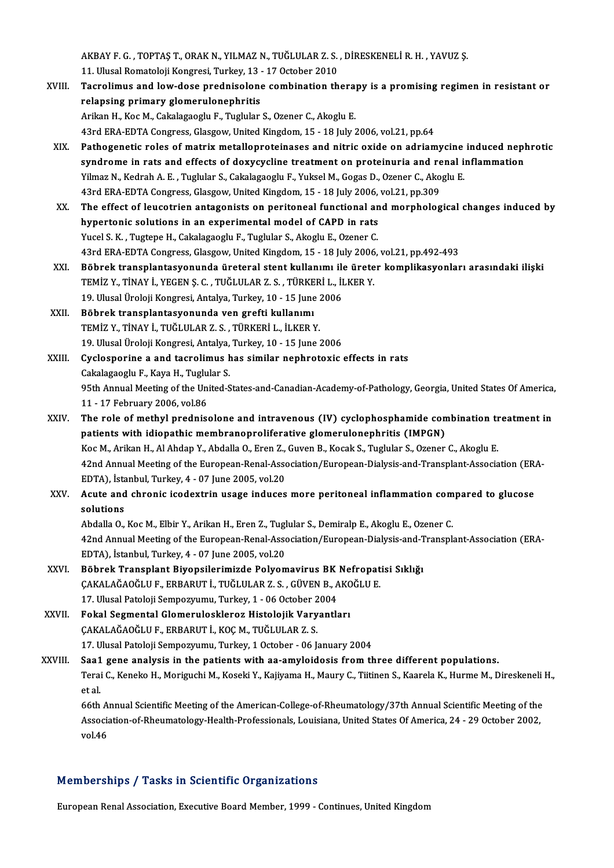AKBAY F. G. , TOPTAŞ T., ORAK N., YILMAZ N., TUĞLULAR Z. S. , DİRESKENELİ R. H. , YAVUZ Ş.<br>11. Ulusal Ramatalaji Kangresi, Turkay, 13., 17 Ostaber 2010 AKBAY F. G. , TOPTAŞ T., ORAK N., YILMAZ N., TUĞLULAR Z. S.<br>11. Ulusal Romatoloji Kongresi, Turkey, 13 - 17 October 2010<br>Tesnalimus and lour dasa pradnisalana sambinatian th

- AKBAY F. G. , TOPTAŞ T., ORAK N., YILMAZ N., TUĞLULAR Z. S. , DİRESKENELİ R. H. , YAVUZ Ş.<br>11. Ulusal Romatoloji Kongresi, Turkey, 13 17 October 2010<br>XVIII. Tacrolimus and low-dose prednisolone combination therapy is 11. Ulusal Romatoloji Kongresi, Turkey, 13 - 17 October 2010<br>Tacrolimus and low-dose prednisolone combination thera<sub>l</sub><br>relapsing primary glomerulonephritis<br>Arikan H., Koc M., Cakalagaoglu F., Tuglular S., Ozener C., Akoglu Tacrolimus and low-dose prednisolone combination thera<br>relapsing primary glomerulonephritis<br>Arikan H., Koc M., Cakalagaoglu F., Tuglular S., Ozener C., Akoglu E.<br>42rd EPA EDTA Congress Classow United Kingdom 15 - 19 July 2 43rd ERA-EDTA Congress, Glasgow, United Kingdom, 15 - 18 July 2006, vol.21, pp.64 Arikan H., Koc M., Cakalagaoglu F., Tuglular S., Ozener C., Akoglu E.<br>43rd ERA-EDTA Congress, Glasgow, United Kingdom, 15 - 18 July 2006, vol.21, pp.64<br>XIX. Pathogenetic roles of matrix metalloproteinases and nitric oxide
- 43rd ERA-EDTA Congress, Glasgow, United Kingdom, 15 18 July 2006, vol.21, pp.64<br>Pathogenetic roles of matrix metalloproteinases and nitric oxide on adriamycine induced nepl<br>syndrome in rats and effects of doxycycline tre Pathogenetic roles of matrix metalloproteinases and nitric oxide on adriamycine<br>syndrome in rats and effects of doxycycline treatment on proteinuria and renal is<br>Yilmaz N., Kedrah A. E. , Tuglular S., Cakalagaoglu F., Yuks syndrome in rats and effects of doxycycline treatment on proteinuria and re<br>Yilmaz N., Kedrah A. E. , Tuglular S., Cakalagaoglu F., Yuksel M., Gogas D., Ozener C., Ako<br>43rd ERA-EDTA Congress, Glasgow, United Kingdom, 15 - Yilmaz N., Kedrah A. E. , Tuglular S., Cakalagaoglu F., Yuksel M., Gogas D., Ozener C., Akoglu E.<br>43rd ERA-EDTA Congress, Glasgow, United Kingdom, 15 - 18 July 2006, vol.21, pp.309<br>XX. The effect of leucotrien antagonists
- 43rd ERA-EDTA Congress, Glasgow, United Kingdom, 15 18 July 2006,<br>The effect of leucotrien antagonists on peritoneal functional an<br>hypertonic solutions in an experimental model of CAPD in rats<br>Yugal S. K., Tugtape H. Cak Yucel S. K., Tugtepe H., Cakalagaoglu F., Tuglular S., Akoglu E., Ozener C. hypertonic solutions in an experimental model of CAPD in rats<br>Yucel S. K. , Tugtepe H., Cakalagaoglu F., Tuglular S., Akoglu E., Ozener C.<br>43rd ERA-EDTA Congress, Glasgow, United Kingdom, 15 - 18 July 2006, vol.21, pp.492-
- XXI. Böbrek transplantasyonunda üreteral stent kullanımı ile üreter komplikasyonları arasındaki ilişki 43rd ERA-EDTA Congress, Glasgow, United Kingdom, 15 - 18 July 2006<br>Böbrek transplantasyonunda üreteral stent kullanımı ile ürete<br>TEMİZ Y., TİNAY İ., YEGEN Ş. C. , TUĞLULAR Z. S. , TÜRKERİ L., İLKER Y.<br>19 Hlusel Üreleji Kon Böbrek transplantasyonunda üreteral stent kullanımı ile<br>TEMİZ Y., TİNAY İ., YEGEN Ş. C. , TUĞLULAR Z. S. , TÜRKERİ L., İI<br>19. Ulusal Üroloji Kongresi, Antalya, Turkey, 10 - 15 June 2006<br>Böhnek transplantasyonunda van speft TEMİZ Y., TİNAY İ., YEGEN Ş. C. , TUĞLULAR Z. S. , TÜRKE<br>19. Ulusal Üroloji Kongresi, Antalya, Turkey, 10 - 15 June<br>XXII. Böbrek transplantasyonunda ven grefti kullanımı<br>TEMİZ Y. TİNAY İ. TUĞLULAR Z. S., TÜRKERLL, İLKERA
- 19. Ulusal Üroloji Kongresi, Antalya, Turkey, 10 15 June 2006<br>Böbrek transplantasyonunda ven grefti kullanımı<br>TEMİZ Y., TİNAY İ., TUĞLULAR Z. S. , TÜRKERİ L., İLKER Y. Böbrek transplantasyonunda ven grefti kullanımı<br>TEMİZ Y., TİNAY İ., TUĞLULAR Z. S. , TÜRKERİ L., İLKER Y.<br>19. Ulusal Üroloji Kongresi, Antalya, Turkey, 10 - 15 June 2006<br>Gyaleanerine a and tearelimus has similar nephreteyi

XXIII. Cyclosporine a and tacrolimus has similar nephrotoxic effects in rats<br>Cakalagaoglu F., Kaya H., Tuglular S. 19. Ulusal Üroloji Kongresi, Antalya,<br>**Cyclosporine a and tacrolimus h.<br>Cakalagaoglu F., Kaya H., Tuglular S.**<br>95th Annual Meeting of the United S. Cyclosporine a and tacrolimus has similar nephrotoxic effects in rats<br>Cakalagaoglu F., Kaya H., Tuglular S.<br>95th Annual Meeting of the United-States-and-Canadian-Academy-of-Pathology, Georgia, United States Of America, Cakalagaoglu F., Kaya H., Tuglu<br>95th Annual Meeting of the Uni<br>11 - 17 February 2006, vol.86<br>The role of methyl predniss 95th Annual Meeting of the United-States-and-Canadian-Academy-of-Pathology, Georgia, United States Of America<br>11 - 17 February 2006, vol.86<br>XXIV. The role of methyl prednisolone and intravenous (IV) cyclophosphamide combin

- 11 17 February 2006, vol.86<br>The role of methyl prednisolone and intravenous (IV) cyclophosphamide con<br>patients with idiopathic membranoproliferative glomerulonephritis (IMPGN)<br>KeeM, Arikan H. Al Abdan Y. Abdalla O. Fran The role of methyl prednisolone and intravenous (IV) cyclophosphamide combination tr<br>patients with idiopathic membranoproliferative glomerulonephritis (IMPGN)<br>Koc M., Arikan H., Al Ahdap Y., Abdalla O., Eren Z., Guven B., patients with idiopathic membranoproliferative glomerulonephritis (IMPGN)<br>Koc M., Arikan H., Al Ahdap Y., Abdalla O., Eren Z., Guven B., Kocak S., Tuglular S., Ozener C., Akoglu E.<br>42nd Annual Meeting of the European-Renal Koc M., Arikan H., Al Ahdap Y., Abdalla O., Eren Z.,<br>42nd Annual Meeting of the European-Renal-Asso<br>EDTA), İstanbul, Turkey, 4 - 07 June 2005, vol.20<br>Agute and abnania isodertrin usege induses
- XXV. Acute and chronic icodextrin usage induces more peritoneal inflammation compared to glucose solutions EDTA), İsta<br>Acute and<br>solutions<br>Abdella O Acute and chronic icodextrin usage induces more peritoneal inflammation com<br>solutions<br>Abdalla O., Koc M., Elbir Y., Arikan H., Eren Z., Tuglular S., Demiralp E., Akoglu E., Ozener C.<br>42nd Annual Meeting of the European Pen

42nd Annual Meeting of the European-Renal-Association/European-Dialysis-and-Transplant-Association (ERA-EDTA), İstanbul, Turkey, 4 - 07 June 2005, vol.20 Abdalla O., Koc M., Elbir Y., Arikan H., Eren Z., Tugl<br>42nd Annual Meeting of the European-Renal-Asso<br>EDTA), İstanbul, Turkey, 4 - 07 June 2005, vol.20<br>Böhnek Transplant Bivonsilerimirde Belver 42nd Annual Meeting of the European-Renal-Association/European-Dialysis-and-T<br>EDTA), İstanbul, Turkey, 4 - 07 June 2005, vol.20<br>XXVI. Böbrek Transplant Biyopsilerimizde Polyomavirus BK Nefropatisi Sıklığı<br>CAKALAĞAQĞLUE ERR

- EDTA), İstanbul, Turkey, 4 07 June 2005, vol.20<br>Böbrek Transplant Biyopsilerimizde Polyomavirus BK Nefropat<br>ÇAKALAĞAOĞLU F., ERBARUT İ., TUĞLULAR Z. S. , GÜVEN B., AKOĞLU E.<br>17 Ulusel Peteleji Semnettumu Turkey 1 06 Os Böbrek Transplant Biyopsilerimizde Polyomavirus BK<br>ÇAKALAĞAOĞLU F., ERBARUT İ., TUĞLULAR Z. S. , GÜVEN B., A<br>17. Ulusal Patoloji Sempozyumu, Turkey, 1 - 06 October 2004<br>Fakal Sesmental Clameruleskleres Histolojik Vervantle CAKALAĞAOĞLU F., ERBARUT İ., TUĞLULAR Z. S. , GÜVEN B., AKOĞLU E.<br>17. Ulusal Patoloji Sempozyumu, Turkey, 1 - 06 October 2004<br>XXVII. Fokal Segmental Glomeruloskleroz Histolojik Varyantları
- 17. Ulusal Patoloji Sempozyumu, Turkey, 1 06 October 2<br>Fokal Segmental Glomeruloskleroz Histolojik Vary<br>ÇAKALAĞAOĞLU F., ERBARUT İ., KOÇ M., TUĞLULAR Z. S.<br>17. Ulusal Patoloji Sempozyumu, Turkey, 1 Ostober, 06 k Fokal Segmental Glomeruloskleroz Histolojik Varyantları<br>ÇAKALAĞAOĞLU F., ERBARUT İ., KOÇ M., TUĞLULAR Z. S.<br>17. Ulusal Patoloji Sempozyumu, Turkey, 1 October - 06 January 2004<br>Saa1 sana analysis in the patients with as amy CAKALAĞAOĞLU F., ERBARUT İ., KOÇ M., TUĞLULAR Z. S.<br>17. Ulusal Patoloji Sempozyumu, Turkey, 1 October - 06 January 2004<br>XXVIII. Saa1 gene analysis in the patients with aa-amyloidosis from three different populations.<br>Tersi
- 17. Ulusal Patoloji Sempozyumu, Turkey, 1 October 06 January 2004<br>Saa1 gene analysis in the patients with aa-amyloidosis from three different populations.<br>Terai C., Keneko H., Moriguchi M., Koseki Y., Kajiyama H., Maury Saa1<br>Terai<br>et al.<br>66th Terai C., Keneko H., Moriguchi M., Koseki Y., Kajiyama H., Maury C., Tiitinen S., Kaarela K., Hurme M., Direskeneli<br>et al.<br>66th Annual Scientific Meeting of the American-College-of-Rheumatology/37th Annual Scientific Meeti

et al.<br>66th Annual Scientific Meeting of the American-College-of-Rheumatology/37th Annual Scientific Meeting of the<br>Association-of-Rheumatology-Health-Professionals, Louisiana, United States Of America, 24 - 29 October 200 66th A<br>Associa<br>vol.46

# vol.46<br>Memberships / Tasks in Scientific Organizations

European Renal Association, Executive Board Member, 1999 - Continues, United Kingdom